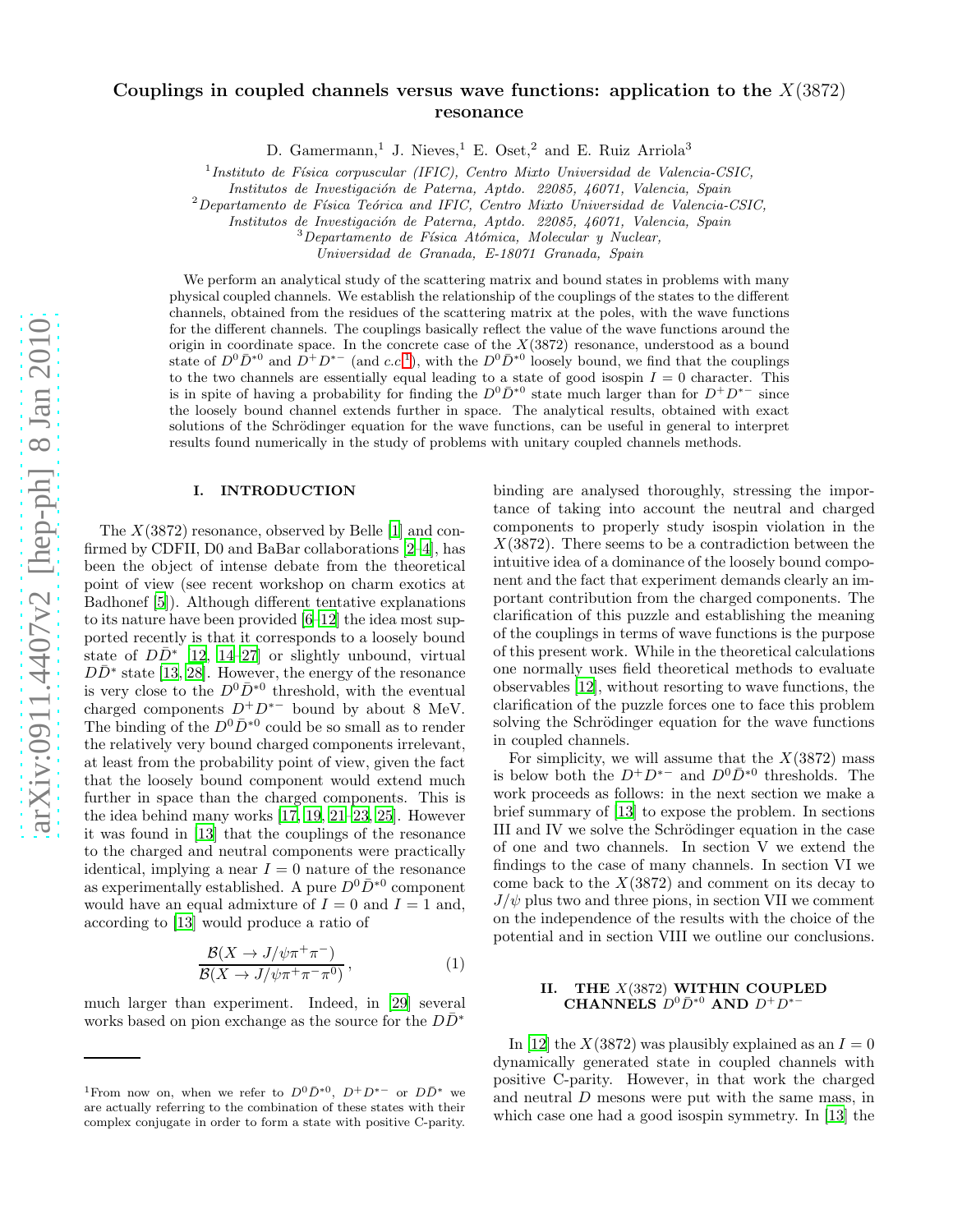# Couplings in coupled channels versus wave functions: application to the  $X(3872)$ resonance

D. Gamermann,<sup>1</sup> J. Nieves,<sup>1</sup> E. Oset,<sup>2</sup> and E. Ruiz Arriola<sup>3</sup>

 $<sup>1</sup>$ Instituto de Física corpuscular (IFIC), Centro Mixto Universidad de Valencia-CSIC,</sup>

Institutos de Investigación de Paterna, Aptdo. 22085, 46071, Valencia, Spain

 ${}^{2}$ Departamento de Física Teórica and IFIC, Centro Mixto Universidad de Valencia-CSIC,

Institutos de Investigación de Paterna, Aptdo. 22085, 46071, Valencia, Spain

 $3$ Departamento de Física Atómica, Molecular y Nuclear,

Universidad de Granada, E-18071 Granada, Spain

We perform an analytical study of the scattering matrix and bound states in problems with many physical coupled channels. We establish the relationship of the couplings of the states to the different channels, obtained from the residues of the scattering matrix at the poles, with the wave functions for the different channels. The couplings basically reflect the value of the wave functions around the origin in coordinate space. In the concrete case of the  $X(3872)$  resonance, understood as a bound state of  $D^0\bar{D}^{*0}$  and  $\bar{D}^+D^{*-}$  (and c.c.<sup>1</sup>), with the  $D^0\bar{D}^{*0}$  loosely bound, we find that the couplings to the two channels are essentially equal leading to a state of good isospin  $I = 0$  character. This is in spite of having a probability for finding the  $D^0 \bar{D}^{*0}$  state much larger than for  $D^+ D^{*-}$  since the loosely bound channel extends further in space. The analytical results, obtained with exact solutions of the Schrödinger equation for the wave functions, can be useful in general to interpret results found numerically in the study of problems with unitary coupled channels methods.

#### I. INTRODUCTION

The  $X(3872)$  resonance, observed by Belle [\[1\]](#page-13-0) and confirmed by CDFII, D0 and BaBar collaborations [\[2](#page-13-1)[–4](#page-13-2)], has been the object of intense debate from the theoretical point of view (see recent workshop on charm exotics at Badhonef [\[5](#page-13-3)]). Although different tentative explanations to its nature have been provided [\[6](#page-13-4)[–12](#page-13-5)] the idea most supported recently is that it corresponds to a loosely bound state of  $D\overline{D}^*$  [\[12,](#page-13-5) [14](#page-13-6)[–27](#page-13-7)] or slightly unbound, virtual  $D\bar{D}^*$  state [\[13,](#page-13-8) [28](#page-13-9)]. However, the energy of the resonance is very close to the  $D^0\bar{D}^{*0}$  threshold, with the eventual charged components  $D^+D^{*-}$  bound by about 8 MeV. The binding of the  $D^0\bar{D}^{*0}$  could be so small as to render the relatively very bound charged components irrelevant, at least from the probability point of view, given the fact that the loosely bound component would extend much further in space than the charged components. This is the idea behind many works [\[17,](#page-13-10) [19,](#page-13-11) [21](#page-13-12)[–23,](#page-13-13) [25\]](#page-13-14). However it was found in [\[13](#page-13-8)] that the couplings of the resonance to the charged and neutral components were practically identical, implying a near  $I = 0$  nature of the resonance as experimentally established. A pure  $D^0\bar{D}^{*0}$  component would have an equal admixture of  $I = 0$  and  $I = 1$  and, according to [\[13\]](#page-13-8) would produce a ratio of

<span id="page-0-0"></span>
$$
\frac{\mathcal{B}(X \to J/\psi \pi^+ \pi^-)}{\mathcal{B}(X \to J/\psi \pi^+ \pi^- \pi^0)},
$$
\n(1)

much larger than experiment. Indeed, in [\[29\]](#page-13-15) several works based on pion exchange as the source for the  $D\bar{D}^*$ 

binding are analysed thoroughly, stressing the importance of taking into account the neutral and charged components to properly study isospin violation in the  $X(3872)$ . There seems to be a contradiction between the intuitive idea of a dominance of the loosely bound component and the fact that experiment demands clearly an important contribution from the charged components. The clarification of this puzzle and establishing the meaning of the couplings in terms of wave functions is the purpose of this present work. While in the theoretical calculations one normally uses field theoretical methods to evaluate observables [\[12\]](#page-13-5), without resorting to wave functions, the clarification of the puzzle forces one to face this problem solving the Schrödinger equation for the wave functions in coupled channels.

For simplicity, we will assume that the  $X(3872)$  mass is below both the  $D^+D^{*-}$  and  $D^0\bar{D}^{*0}$  thresholds. The work proceeds as follows: in the next section we make a brief summary of [\[13\]](#page-13-8) to expose the problem. In sections III and IV we solve the Schrödinger equation in the case of one and two channels. In section V we extend the findings to the case of many channels. In section VI we come back to the  $X(3872)$  and comment on its decay to  $J/\psi$  plus two and three pions, in section VII we comment on the independence of the results with the choice of the potential and in section VIII we outline our conclusions.

### <span id="page-0-1"></span>II. THE  $X(3872)$  WITHIN COUPLED CHANNELS  $D^0\bar{D}^{*0}$  and  $D^+D^{*-}$

In [\[12](#page-13-5)] the  $X(3872)$  was plausibly explained as an  $I=0$ dynamically generated state in coupled channels with positive C-parity. However, in that work the charged and neutral D mesons were put with the same mass, in which case one had a good isospin symmetry. In [\[13\]](#page-13-8) the

<sup>&</sup>lt;sup>1</sup>From now on, when we refer to  $D^0\bar{D}^{*0}$ ,  $D^+D^{*-}$  or  $D\bar{D}^{*}$  we are actually referring to the combination of these states with their complex conjugate in order to form a state with positive C-parity.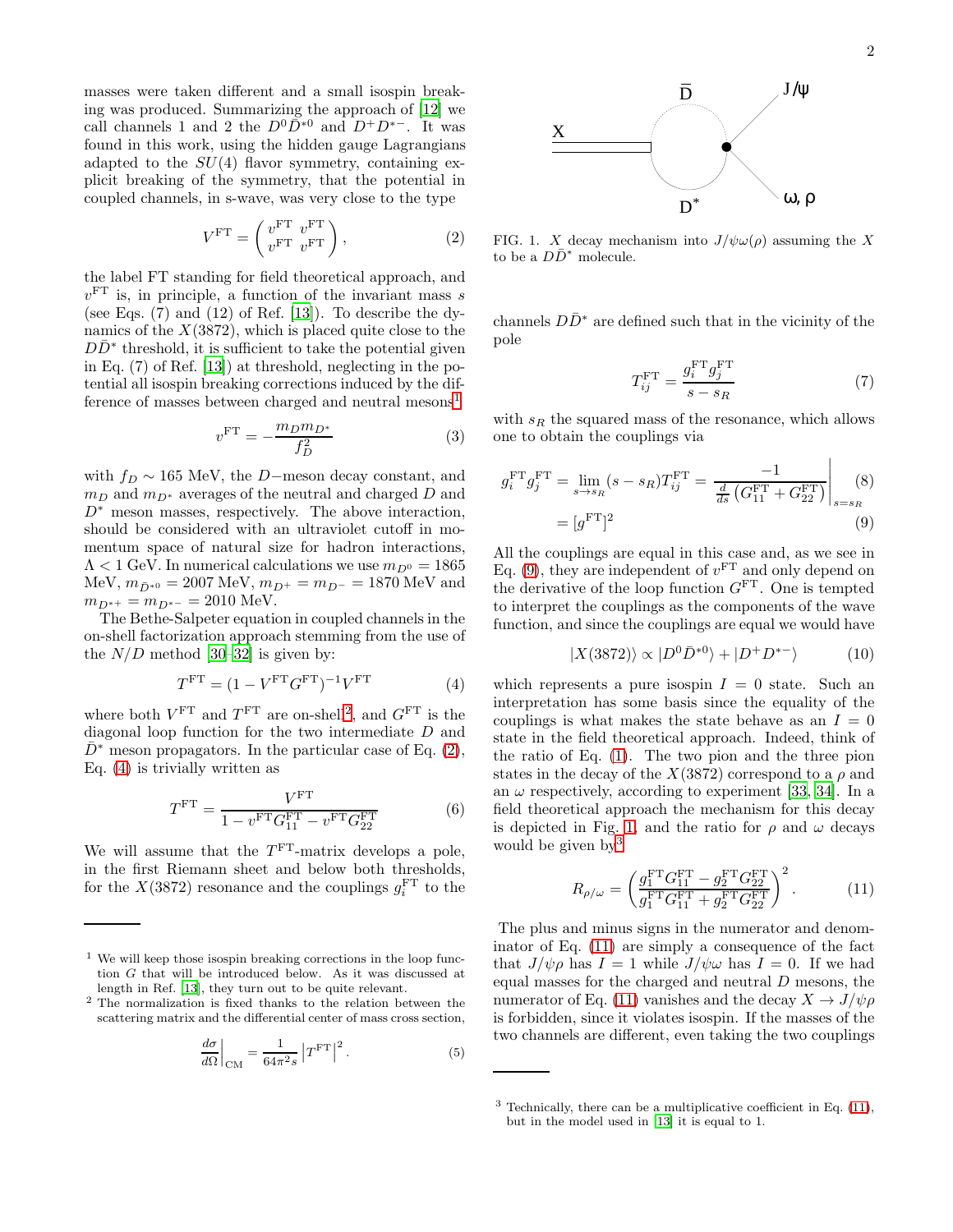masses were taken different and a small isospin breaking was produced. Summarizing the approach of [\[12\]](#page-13-5) we call channels 1 and 2 the  $D^0\overline{D}^{*0}$  and  $D^+D^{*-}$ . It was found in this work, using the hidden gauge Lagrangians adapted to the  $SU(4)$  flavor symmetry, containing explicit breaking of the symmetry, that the potential in coupled channels, in s-wave, was very close to the type

<span id="page-1-2"></span>
$$
V^{\rm FT} = \begin{pmatrix} v^{\rm FT} & v^{\rm FT} \\ v^{\rm FT} & v^{\rm FT} \end{pmatrix}, \tag{2}
$$

the label FT standing for field theoretical approach, and  $v<sup>FT</sup>$  is, in principle, a function of the invariant mass s (see Eqs.  $(7)$  and  $(12)$  of Ref.  $[13]$ ). To describe the dynamics of the  $X(3872)$ , which is placed quite close to the  $D\bar{D}^*$  threshold, it is sufficient to take the potential given in Eq. (7) of Ref. [\[13\]](#page-13-8)) at threshold, neglecting in the potential all isospin breaking corrections induced by the dif-ference of masses between charged and neutral mesons<sup>[1](#page-1-0)</sup>

<span id="page-1-8"></span>
$$
v^{\rm FT} = -\frac{m_D m_{D^*}}{f_D^2} \tag{3}
$$

with  $f_D \sim 165$  MeV, the D−meson decay constant, and  $m_D$  and  $m_{D^*}$  averages of the neutral and charged D and  $D^*$  meson masses, respectively. The above interaction, should be considered with an ultraviolet cutoff in momentum space of natural size for hadron interactions,  $\Lambda < 1$  GeV. In numerical calculations we use  $m_{D^0} = 1865$  $MeV, m_{\bar{D}^{*0}} = 2007 \text{ MeV}, m_{D^{+}} = m_{D^{-}} = 1870 \text{ MeV}$  and  $m_{D^{*+}} = m_{D^{*-}} = 2010$  MeV.

The Bethe-Salpeter equation in coupled channels in the on-shell factorization approach stemming from the use of the  $N/D$  method [\[30](#page-13-16)[–32](#page-13-17)] is given by:

<span id="page-1-3"></span>
$$
TFT = (1 - VFTGFT)-1VFT
$$
 (4)

where both  $V^{\text{FT}}$  and  $T^{\text{FT}}$  are on-shell<sup>[2](#page-1-1)</sup>, and  $G^{\text{FT}}$  is the diagonal loop function for the two intermediate D and  $D^*$  meson propagators. In the particular case of Eq. [\(2\)](#page-1-2), Eq. [\(4\)](#page-1-3) is trivially written as

$$
T^{\text{FT}} = \frac{V^{\text{FT}}}{1 - v^{\text{FT}} G_{11}^{\text{FT}} - v^{\text{FT}} G_{22}^{\text{FT}}}
$$
(6)

We will assume that the  $T<sup>FT</sup>$ -matrix develops a pole, in the first Riemann sheet and below both thresholds, for the  $X(3872)$  resonance and the couplings  $g_i^{\text{FT}}$  to the

$$
\frac{d\sigma}{d\Omega}\bigg|_{\text{CM}} = \frac{1}{64\pi^2 s} \left|T^{\text{FT}}\right|^2.
$$
 (5)

ω, ρ

<span id="page-1-5"></span>FIG. 1. X decay mechanism into  $J/\psi \omega(\rho)$  assuming the X to be a  $D\bar{D}^*$  molecule.

 $\mathbf{D}^*$ 

X

channels  $D\bar{D}^*$  are defined such that in the vicinity of the pole

$$
T_{ij}^{\text{FT}} = \frac{g_i^{\text{FT}} g_j^{\text{FT}}}{s - s_R} \tag{7}
$$

with  $s_R$  the squared mass of the resonance, which allows one to obtain the couplings via

<span id="page-1-4"></span>
$$
g_i^{\text{FT}} g_j^{\text{FT}} = \lim_{s \to s_R} (s - s_R) T_{ij}^{\text{FT}} = \frac{-1}{\frac{d}{ds} (G_{11}^{\text{FT}} + G_{22}^{\text{FT}})} \Big|_{s = s_R}
$$
(8)  
=  $[g^{\text{FT}}]^2$  (9)

All the couplings are equal in this case and, as we see in Eq. [\(9\)](#page-1-4), they are independent of  $v<sup>FT</sup>$  and only depend on the derivative of the loop function  $G<sup>FT</sup>$ . One is tempted to interpret the couplings as the components of the wave function, and since the couplings are equal we would have

$$
|X(3872)\rangle \propto |D^0\bar{D}^{*0}\rangle + |D^+D^{*-}\rangle \tag{10}
$$

which represents a pure isospin  $I = 0$  state. Such an interpretation has some basis since the equality of the couplings is what makes the state behave as an  $I = 0$ state in the field theoretical approach. Indeed, think of the ratio of Eq. [\(1\)](#page-0-0). The two pion and the three pion states in the decay of the  $X(3872)$  correspond to a  $\rho$  and an  $\omega$  respectively, according to experiment [\[33,](#page-13-18) [34\]](#page-13-19). In a field theoretical approach the mechanism for this decay is depicted in Fig. [1,](#page-1-5) and the ratio for  $\rho$  and  $\omega$  decays would be given by<sup>[3](#page-1-6)</sup>

<span id="page-1-7"></span>
$$
R_{\rho/\omega} = \left(\frac{g_1^{\text{FT}} G_{11}^{\text{FT}} - g_2^{\text{FT}} G_{22}^{\text{FT}}}{g_1^{\text{FT}} G_{11}^{\text{FT}} + g_2^{\text{FT}} G_{22}^{\text{FT}}}\right)^2.
$$
 (11)

The plus and minus signs in the numerator and denominator of Eq. [\(11\)](#page-1-7) are simply a consequence of the fact that  $J/\psi \rho$  has  $I = 1$  while  $J/\psi \omega$  has  $I = 0$ . If we had equal masses for the charged and neutral  $D$  mesons, the numerator of Eq. [\(11\)](#page-1-7) vanishes and the decay  $X \to J/\psi \rho$ is forbidden, since it violates isospin. If the masses of the two channels are different, even taking the two couplings

<span id="page-1-0"></span> $1$  We will keep those isospin breaking corrections in the loop function G that will be introduced below. As it was discussed at length in Ref. [\[13\]](#page-13-8), they turn out to be quite relevant.

<span id="page-1-1"></span><sup>2</sup> The normalization is fixed thanks to the relation between the scattering matrix and the differential center of mass cross section,

<span id="page-1-6"></span> $3$  Technically, there can be a multiplicative coefficient in Eq.  $(11)$ , but in the model used in [\[13\]](#page-13-8) it is equal to 1.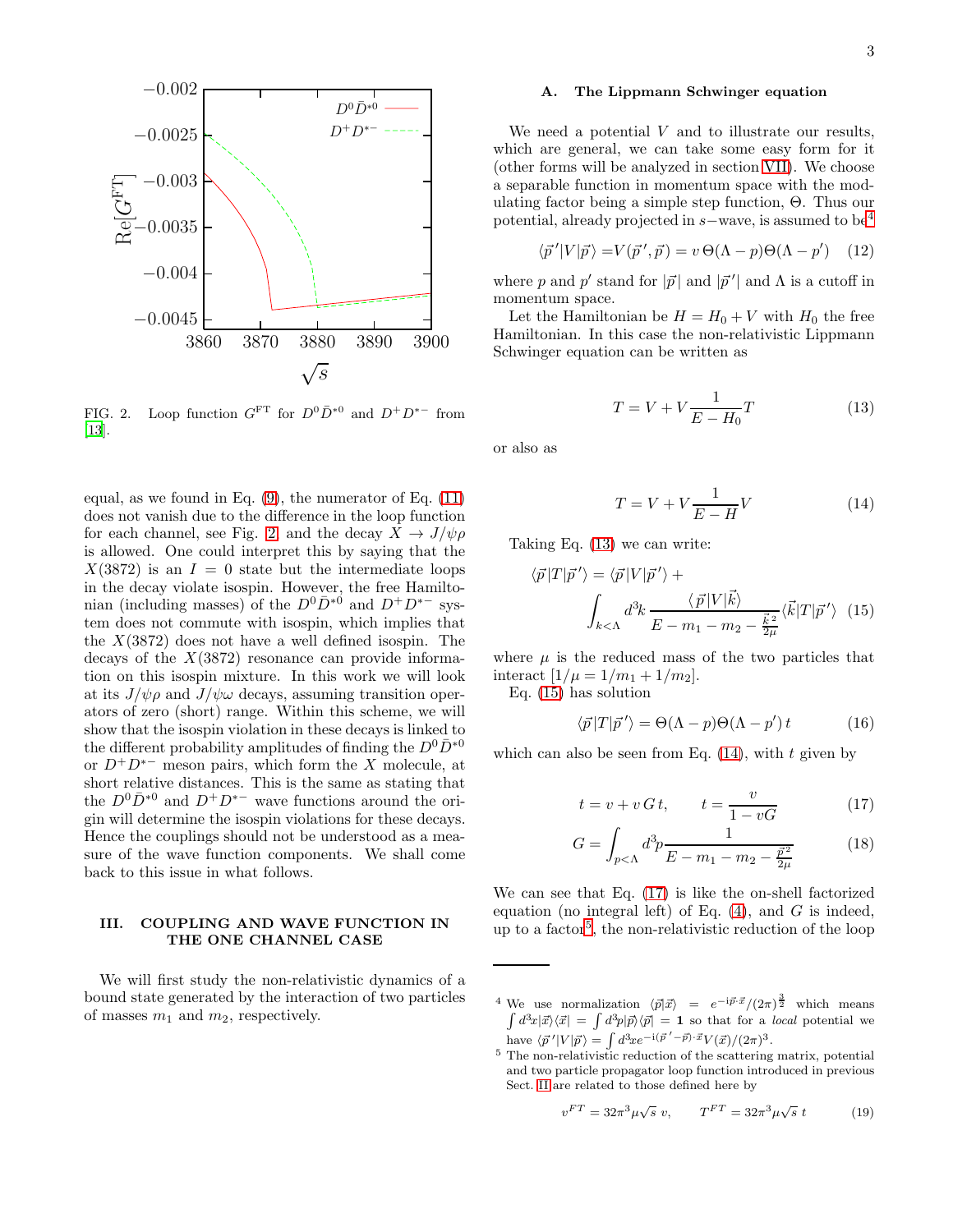

<span id="page-2-0"></span>FIG. 2. Loop function  $G^{FT}$  for  $D^0\overline{D}^{*0}$  and  $D^+D^{*-}$  from [\[13\]](#page-13-8).

equal, as we found in Eq.  $(9)$ , the numerator of Eq.  $(11)$ does not vanish due to the difference in the loop function for each channel, see Fig. [2,](#page-2-0) and the decay  $X \to J/\psi \rho$ is allowed. One could interpret this by saying that the  $X(3872)$  is an  $I = 0$  state but the intermediate loops in the decay violate isospin. However, the free Hamiltonian (including masses) of the  $D^0\bar{D}^{*0}$  and  $D^+D^{*-}$  system does not commute with isospin, which implies that the  $X(3872)$  does not have a well defined isospin. The decays of the  $X(3872)$  resonance can provide information on this isospin mixture. In this work we will look at its  $J/\psi \rho$  and  $J/\psi \omega$  decays, assuming transition operators of zero (short) range. Within this scheme, we will show that the isospin violation in these decays is linked to the different probability amplitudes of finding the  $D^0\bar{D}^{*0}$ or  $D^+D^{*-}$  meson pairs, which form the X molecule, at short relative distances. This is the same as stating that the  $D^0\bar{D}^{*0}$  and  $D^+D^{*-}$  wave functions around the origin will determine the isospin violations for these decays. Hence the couplings should not be understood as a measure of the wave function components. We shall come back to this issue in what follows.

## III. COUPLING AND WAVE FUNCTION IN THE ONE CHANNEL CASE

We will first study the non-relativistic dynamics of a bound state generated by the interaction of two particles of masses  $m_1$  and  $m_2$ , respectively.

#### A. The Lippmann Schwinger equation

We need a potential  $V$  and to illustrate our results, which are general, we can take some easy form for it (other forms will be analyzed in section [VII\)](#page-10-0). We choose a separable function in momentum space with the modulating factor being a simple step function, Θ. Thus our potential, already projected in <sup>s</sup>−wave, is assumed to be[4](#page-2-1)

$$
\langle \vec{p}'|V|\vec{p}\rangle = V(\vec{p}',\vec{p}) = v \Theta(\Lambda - p)\Theta(\Lambda - p') \quad (12)
$$

where  $p$  and  $p'$  stand for  $|\vec{p}|$  and  $|\vec{p}^{\,\prime}|$  and  $\Lambda$  is a cutoff in momentum space.

Let the Hamiltonian be  $H = H_0 + V$  with  $H_0$  the free Hamiltonian. In this case the non-relativistic Lippmann Schwinger equation can be written as

<span id="page-2-2"></span>
$$
T = V + V \frac{1}{E - H_0} T \tag{13}
$$

or also as

<span id="page-2-4"></span>
$$
T = V + V \frac{1}{E - H} V \tag{14}
$$

Taking Eq. [\(13\)](#page-2-2) we can write:

<span id="page-2-3"></span>
$$
\langle \vec{p} | T | \vec{p}' \rangle = \langle \vec{p} | V | \vec{p}' \rangle +
$$

$$
\int_{k < \Lambda} d^3k \frac{\langle \vec{p} | V | \vec{k} \rangle}{E - m_1 - m_2 - \frac{\vec{k}^2}{2\mu}} \langle \vec{k} | T | \vec{p}' \rangle \quad (15)
$$

where  $\mu$  is the reduced mass of the two particles that interact  $[1/\mu = 1/m_1 + 1/m_2]$ .

Eq. [\(15\)](#page-2-3) has solution

<span id="page-2-7"></span>
$$
\langle \vec{p} | T | \vec{p}' \rangle = \Theta(\Lambda - p)\Theta(\Lambda - p')t \tag{16}
$$

which can also be seen from Eq.  $(14)$ , with t given by

<span id="page-2-5"></span>
$$
t = v + v\,G\,t, \qquad t = \frac{v}{1 - vG} \tag{17}
$$

$$
G = \int_{p<\Lambda} d^3p \frac{1}{E - m_1 - m_2 - \frac{\vec{p}^2}{2\mu}} \tag{18}
$$

We can see that Eq. [\(17\)](#page-2-5) is like the on-shell factorized equation (no integral left) of Eq.  $(4)$ , and G is indeed, up to a factor<sup>[5](#page-2-6)</sup>, the non-relativistic reduction of the loop

<span id="page-2-8"></span>
$$
v^{FT} = 32\pi^3 \mu \sqrt{s} \ v, \qquad T^{FT} = 32\pi^3 \mu \sqrt{s} \ t \tag{19}
$$

<span id="page-2-1"></span><sup>&</sup>lt;sup>4</sup> We use normalization  $\langle \vec{p} | \vec{x} \rangle = e^{-i \vec{p} \cdot \vec{x}} / (2\pi)^{\frac{3}{2}}$  which means  $\int d^3x |\vec{x}\rangle\langle \vec{x}| = \int d^3p |\vec{p}\rangle\langle \vec{p}| = 1$  so that for a *local* potential we have  $\langle \vec{p}'|V|\vec{p}\rangle = \int d^3x e^{-i(\vec{p}'-\vec{p})\cdot\vec{x}} V(\vec{x})/(2\pi)^3$ .

<span id="page-2-6"></span><sup>5</sup> The non-relativistic reduction of the scattering matrix, potential and two particle propagator loop function introduced in previous Sect. [II](#page-0-1) are related to those defined here by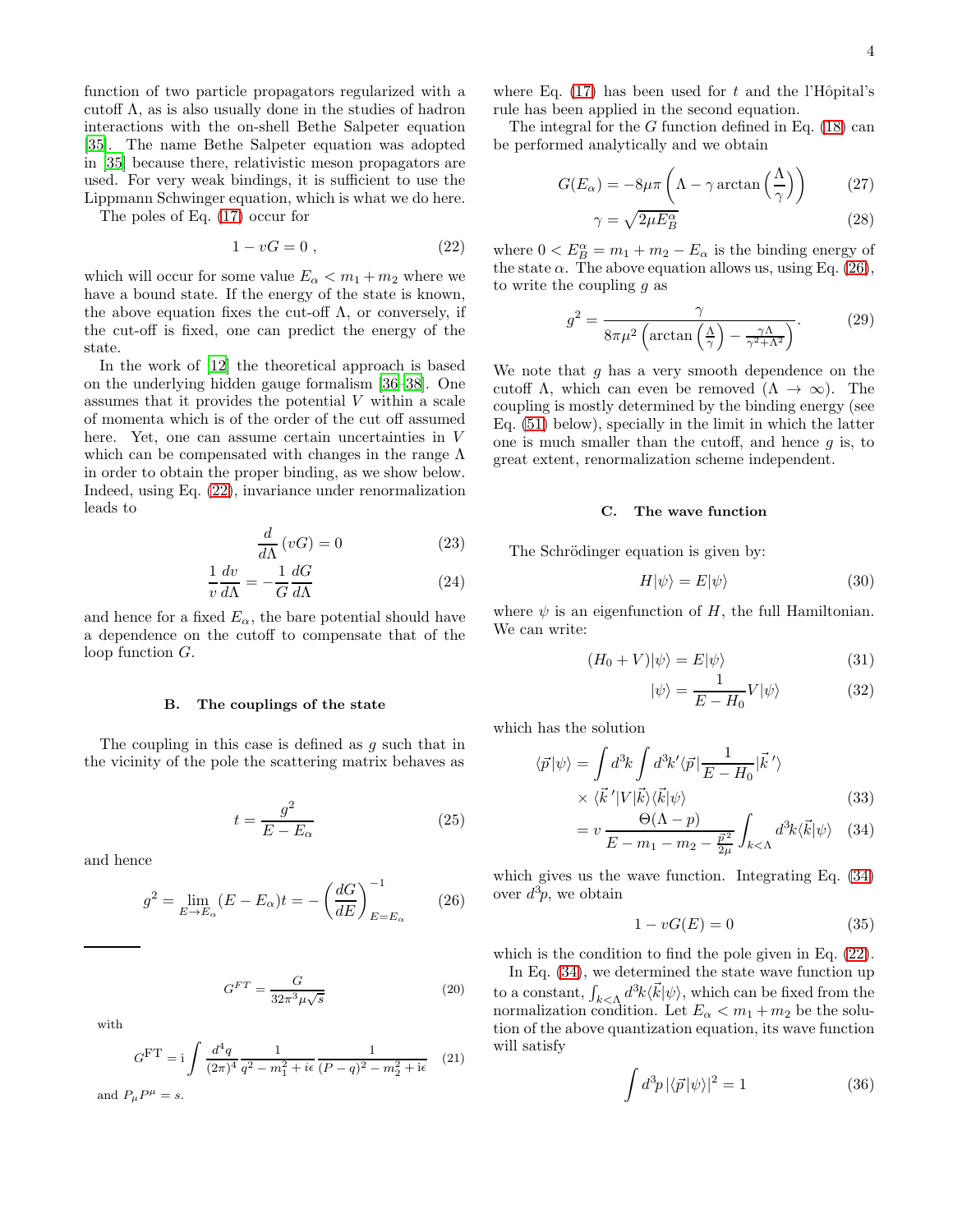function of two particle propagators regularized with a cutoff  $\Lambda$ , as is also usually done in the studies of hadron interactions with the on-shell Bethe Salpeter equation [\[35\]](#page-13-20). The name Bethe Salpeter equation was adopted in [\[35\]](#page-13-20) because there, relativistic meson propagators are used. For very weak bindings, it is sufficient to use the Lippmann Schwinger equation, which is what we do here.

The poles of Eq. [\(17\)](#page-2-5) occur for

<span id="page-3-0"></span>
$$
1 - vG = 0 \tag{22}
$$

which will occur for some value  $E_{\alpha} < m_1 + m_2$  where we have a bound state. If the energy of the state is known, the above equation fixes the cut-off  $\Lambda$ , or conversely, if the cut-off is fixed, one can predict the energy of the state.

In the work of [\[12](#page-13-5)] the theoretical approach is based on the underlying hidden gauge formalism [\[36](#page-13-21)[–38\]](#page-13-22). One assumes that it provides the potential V within a scale of momenta which is of the order of the cut off assumed here. Yet, one can assume certain uncertainties in V which can be compensated with changes in the range  $\Lambda$ in order to obtain the proper binding, as we show below. Indeed, using Eq. [\(22\)](#page-3-0), invariance under renormalization leads to

$$
\frac{d}{d\Lambda}(vG) = 0\tag{23}
$$

$$
\frac{1}{v}\frac{dv}{d\Lambda} = -\frac{1}{G}\frac{dG}{d\Lambda} \tag{24}
$$

and hence for a fixed  $E_{\alpha}$ , the bare potential should have a dependence on the cutoff to compensate that of the loop function G.

#### B. The couplings of the state

The coupling in this case is defined as  $g$  such that in the vicinity of the pole the scattering matrix behaves as

$$
t = \frac{g^2}{E - E_{\alpha}}\tag{25}
$$

and hence

<span id="page-3-1"></span>
$$
g^2 = \lim_{E \to E_{\alpha}} (E - E_{\alpha}) t = -\left(\frac{dG}{dE}\right)_{E=E_{\alpha}}^{-1}
$$
 (26)

<span id="page-3-6"></span>
$$
G^{FT} = \frac{G}{32\pi^3 \mu \sqrt{s}}\tag{20}
$$

with

<span id="page-3-5"></span>
$$
GFT = i \int \frac{d^4q}{(2\pi)^4} \frac{1}{q^2 - m_1^2 + i\epsilon} \frac{1}{(P - q)^2 - m_2^2 + i\epsilon}
$$
 (21)

and  $P_{\mu}P^{\mu} = s.$ 

where Eq.  $(17)$  has been used for t and the l'Hôpital's rule has been applied in the second equation.

The integral for the  $G$  function defined in Eq. [\(18\)](#page-2-5) can be performed analytically and we obtain

<span id="page-3-3"></span>
$$
G(E_{\alpha}) = -8\mu\pi \left(\Lambda - \gamma \arctan\left(\frac{\Lambda}{\gamma}\right)\right) \tag{27}
$$

$$
\gamma = \sqrt{2\mu E_B^{\alpha}}
$$
 (28)

where  $0 < E_B^{\alpha} = m_1 + m_2 - E_{\alpha}$  is the binding energy of the state  $\alpha$ . The above equation allows us, using Eq. [\(26\)](#page-3-1), to write the coupling  $q$  as

<span id="page-3-4"></span>
$$
g^2 = \frac{\gamma}{8\pi\mu^2 \left(\arctan\left(\frac{\Lambda}{\gamma}\right) - \frac{\gamma\Lambda}{\gamma^2 + \Lambda^2}\right)}.\tag{29}
$$

We note that  $q$  has a very smooth dependence on the cutoff  $\Lambda$ , which can even be removed  $(\Lambda \to \infty)$ . The coupling is mostly determined by the binding energy (see Eq. [\(51\)](#page-5-0) below), specially in the limit in which the latter one is much smaller than the cutoff, and hence  $q$  is, to great extent, renormalization scheme independent.

#### C. The wave function

The Schrödinger equation is given by:

$$
H|\psi\rangle = E|\psi\rangle \tag{30}
$$

where  $\psi$  is an eigenfunction of H, the full Hamiltonian. We can write:

$$
(H_0 + V)|\psi\rangle = E|\psi\rangle \tag{31}
$$

$$
|\psi\rangle = \frac{1}{E - H_0} V |\psi\rangle \tag{32}
$$

which has the solution

<span id="page-3-2"></span>
$$
\langle \vec{p} | \psi \rangle = \int d^3k \int d^3k' \langle \vec{p} | \frac{1}{E - H_0} | \vec{k}' \rangle
$$
  
 
$$
\times \langle \vec{k}' | V | \vec{k} \rangle \langle \vec{k} | \psi \rangle
$$
 (33)

$$
= v \frac{\Theta(\Lambda - p)}{E - m_1 - m_2 - \frac{\vec{p}^2}{2\mu}} \int_{k < \Lambda} d^3k \langle \vec{k} | \psi \rangle \quad (34)
$$

which gives us the wave function. Integrating Eq. [\(34\)](#page-3-2) over  $d^3p$ , we obtain

$$
1 - vG(E) = 0 \tag{35}
$$

which is the condition to find the pole given in Eq.  $(22)$ .

In Eq. [\(34\)](#page-3-2), we determined the state wave function up to a constant,  $\int_{k\leq \Lambda} d^3k \langle \vec{k} | \psi \rangle$ , which can be fixed from the normalization condition. Let  $E_{\alpha} < m_1 + m_2$  be the solution of the above quantization equation, its wave function will satisfy

$$
\int d^3p \, |\langle \vec{p} | \psi \rangle|^2 = 1 \tag{36}
$$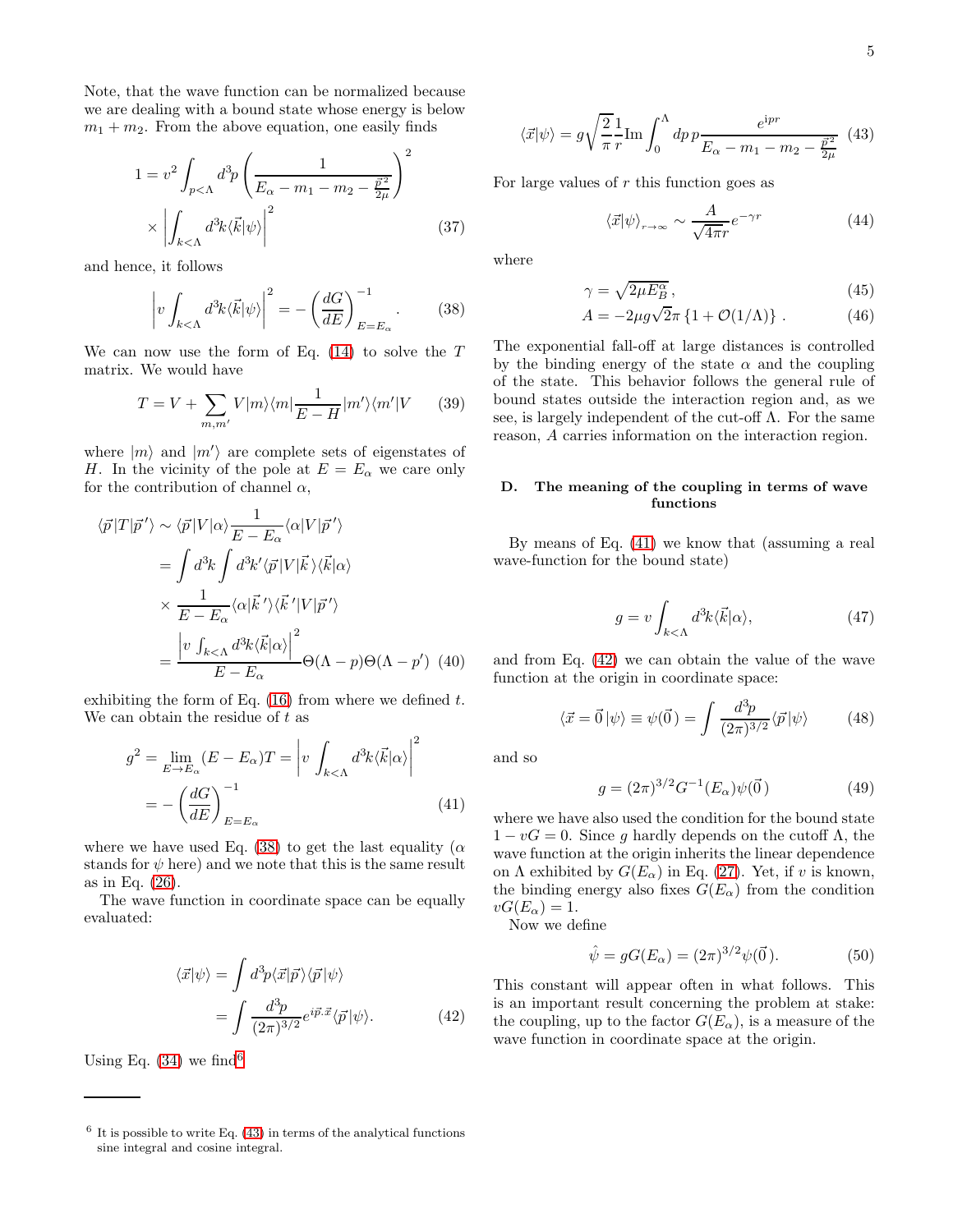Note, that the wave function can be normalized because we are dealing with a bound state whose energy is below  $m_1 + m_2$ . From the above equation, one easily finds

$$
1 = v^2 \int_{p < \Lambda} d^3 p \left( \frac{1}{E_\alpha - m_1 - m_2 - \frac{\vec{p}^2}{2\mu}} \right)^2
$$

$$
\times \left| \int_{k < \Lambda} d^3 k \langle \vec{k} | \psi \rangle \right|^2 \tag{37}
$$

and hence, it follows

<span id="page-4-0"></span>
$$
\left|v \int_{k<\Lambda} d^3k \langle \vec{k} | \psi \rangle \right|^2 = -\left(\frac{dG}{dE}\right)^{-1}_{E=E_{\alpha}}.\tag{38}
$$

We can now use the form of Eq.  $(14)$  to solve the T matrix. We would have

$$
T = V + \sum_{m,m'} V|m\rangle\langle m|\frac{1}{E-H}|m'\rangle\langle m'|V \qquad (39)
$$

where  $|m\rangle$  and  $|m'\rangle$  are complete sets of eigenstates of H. In the vicinity of the pole at  $E = E_{\alpha}$  we care only for the contribution of channel  $\alpha$ ,

$$
\langle \vec{p} | T | \vec{p}' \rangle \sim \langle \vec{p} | V | \alpha \rangle \frac{1}{E - E_{\alpha}} \langle \alpha | V | \vec{p}' \rangle
$$
  
= 
$$
\int d^{3}k \int d^{3}k' \langle \vec{p} | V | \vec{k} \rangle \langle \vec{k} | \alpha \rangle
$$
  

$$
\times \frac{1}{E - E_{\alpha}} \langle \alpha | \vec{k}' \rangle \langle \vec{k}' | V | \vec{p}' \rangle
$$
  
= 
$$
\frac{\left| v \int_{k < \Lambda} d^{3}k \langle \vec{k} | \alpha \rangle \right|^{2}}{E - E_{\alpha}} \Theta(\Lambda - p) \Theta(\Lambda - p')
$$
 (40)

exhibiting the form of Eq.  $(16)$  from where we defined t. We can obtain the residue of  $t$  as

<span id="page-4-3"></span>
$$
g^{2} = \lim_{E \to E_{\alpha}} (E - E_{\alpha}) T = \left| v \int_{k < \Lambda} d^{3}k \langle \vec{k} | \alpha \rangle \right|^{2}
$$

$$
= -\left( \frac{dG}{dE} \right)_{E = E_{\alpha}}^{-1}
$$
(41)

where we have used Eq. [\(38\)](#page-4-0) to get the last equality ( $\alpha$ stands for  $\psi$  here) and we note that this is the same result as in Eq. [\(26\)](#page-3-1).

The wave function in coordinate space can be equally evaluated:

<span id="page-4-4"></span>
$$
\langle \vec{x} | \psi \rangle = \int d^3 p \langle \vec{x} | \vec{p} \rangle \langle \vec{p} | \psi \rangle
$$

$$
= \int \frac{d^3 p}{(2\pi)^{3/2}} e^{i \vec{p} \cdot \vec{x}} \langle \vec{p} | \psi \rangle. \tag{42}
$$

Using Eq.  $(34)$  we find<sup>[6](#page-4-1)</sup>

<span id="page-4-2"></span>
$$
\langle \vec{x} | \psi \rangle = g \sqrt{\frac{2}{\pi}} \frac{1}{r} \text{Im} \int_0^{\Lambda} dp \, p \frac{e^{ipr}}{E_{\alpha} - m_1 - m_2 - \frac{\vec{p}^2}{2\mu}} \tag{43}
$$

For large values of  $r$  this function goes as

<span id="page-4-5"></span>
$$
\langle \vec{x} | \psi \rangle_{r \to \infty} \sim \frac{A}{\sqrt{4\pi}r} e^{-\gamma r} \tag{44}
$$

where

$$
\gamma = \sqrt{2\mu E_B^{\alpha}},\tag{45}
$$

$$
A = -2\mu g \sqrt{2}\pi \left\{ 1 + \mathcal{O}(1/\Lambda) \right\} . \tag{46}
$$

The exponential fall-off at large distances is controlled by the binding energy of the state  $\alpha$  and the coupling of the state. This behavior follows the general rule of bound states outside the interaction region and, as we see, is largely independent of the cut-off  $\Lambda$ . For the same reason, A carries information on the interaction region.

### D. The meaning of the coupling in terms of wave functions

By means of Eq. [\(41\)](#page-4-3) we know that (assuming a real wave-function for the bound state)

$$
g = v \int_{k < \Lambda} d^3k \langle \vec{k} | \alpha \rangle, \tag{47}
$$

and from Eq. [\(42\)](#page-4-4) we can obtain the value of the wave function at the origin in coordinate space:

<span id="page-4-6"></span>
$$
\langle \vec{x} = \vec{0} | \psi \rangle \equiv \psi(\vec{0}) = \int \frac{d^3 p}{(2\pi)^{3/2}} \langle \vec{p} | \psi \rangle \tag{48}
$$

and so

 $\alpha$ 

$$
g = (2\pi)^{3/2} G^{-1}(E_{\alpha}) \psi(\vec{0})
$$
 (49)

where we have also used the condition for the bound state  $1 - vG = 0$ . Since g hardly depends on the cutoff  $\Lambda$ , the wave function at the origin inherits the linear dependence on  $\Lambda$  exhibited by  $G(E_{\alpha})$  in Eq. [\(27\)](#page-3-3). Yet, if v is known, the binding energy also fixes  $G(E_{\alpha})$  from the condition  $vG(E_{\alpha})=1.$ 

Now we define

$$
\hat{\psi} = gG(E_{\alpha}) = (2\pi)^{3/2} \psi(\vec{0}).
$$
\n(50)

This constant will appear often in what follows. This is an important result concerning the problem at stake: the coupling, up to the factor  $G(E_{\alpha})$ , is a measure of the wave function in coordinate space at the origin.

<span id="page-4-1"></span> $6$  It is possible to write Eq.  $(43)$  in terms of the analytical functions sine integral and cosine integral.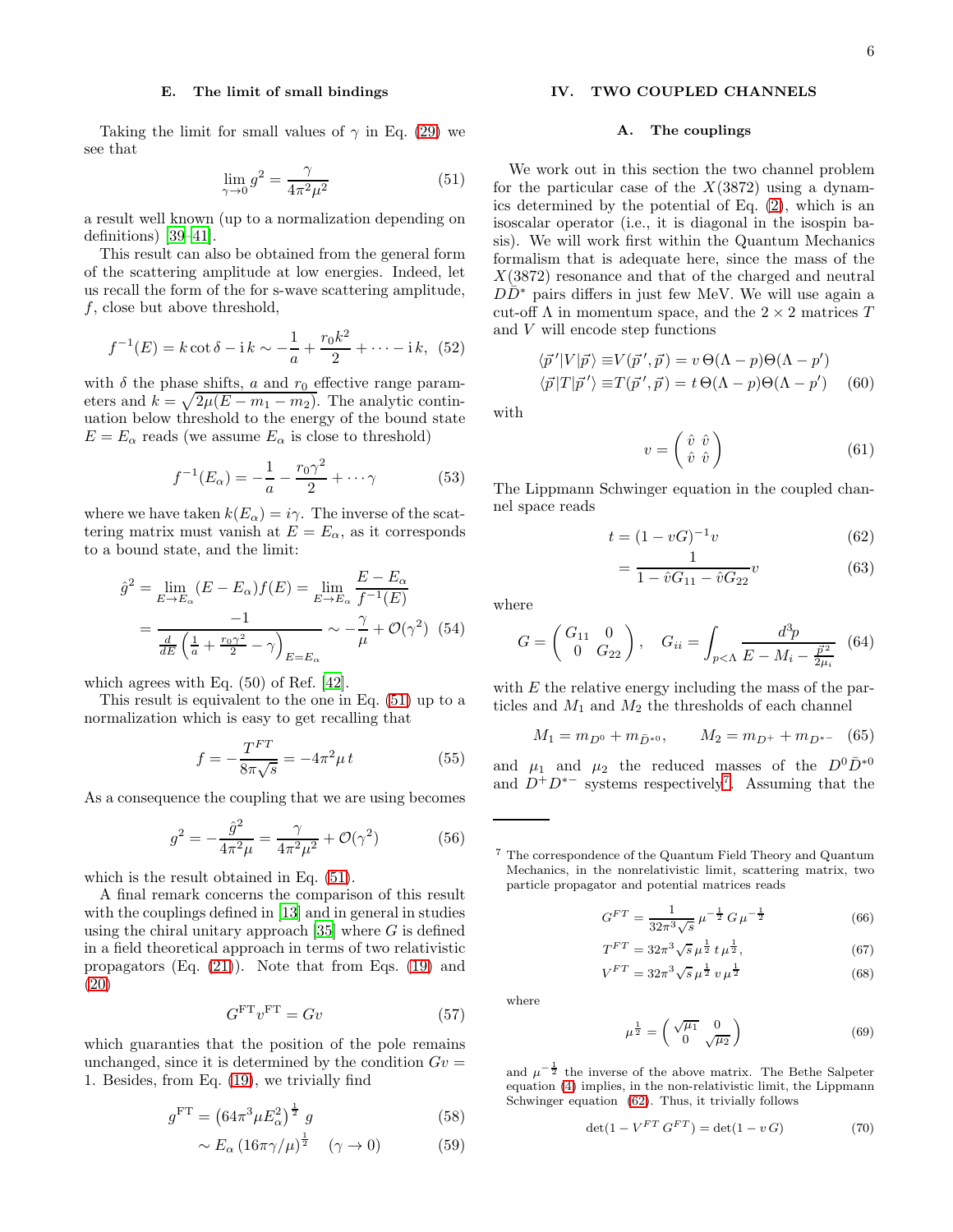#### E. The limit of small bindings

Taking the limit for small values of  $\gamma$  in Eq. [\(29\)](#page-3-4) we see that

<span id="page-5-0"></span>
$$
\lim_{\gamma \to 0} g^2 = \frac{\gamma}{4\pi^2 \mu^2} \tag{51}
$$

a result well known (up to a normalization depending on definitions) [\[39](#page-13-23)[–41\]](#page-13-24).

This result can also be obtained from the general form of the scattering amplitude at low energies. Indeed, let us recall the form of the for s-wave scattering amplitude,  $f$ , close but above threshold,

$$
f^{-1}(E) = k \cot \delta - i k \sim -\frac{1}{a} + \frac{r_0 k^2}{2} + \dots - i k, \tag{52}
$$

with  $\delta$  the phase shifts,  $a$  and  $r_0$  effective range parameters and  $k = \sqrt{2\mu(E - m_1 - m_2)}$ . The analytic continuation below threshold to the energy of the bound state  $E = E_{\alpha}$  reads (we assume  $E_{\alpha}$  is close to threshold)

$$
f^{-1}(E_{\alpha}) = -\frac{1}{a} - \frac{r_0 \gamma^2}{2} + \dots \gamma
$$
 (53)

where we have taken  $k(E_{\alpha}) = i\gamma$ . The inverse of the scattering matrix must vanish at  $E = E_{\alpha}$ , as it corresponds to a bound state, and the limit:

$$
\hat{g}^2 = \lim_{E \to E_{\alpha}} (E - E_{\alpha}) f(E) = \lim_{E \to E_{\alpha}} \frac{E - E_{\alpha}}{f^{-1}(E)}
$$

$$
= \frac{-1}{\frac{d}{dE} \left(\frac{1}{a} + \frac{r_0 \gamma^2}{2} - \gamma\right)_{E = E_{\alpha}}} \sim -\frac{\gamma}{\mu} + \mathcal{O}(\gamma^2) \tag{54}
$$

which agrees with Eq. (50) of Ref. [\[42](#page-13-25)].

This result is equivalent to the one in Eq. [\(51\)](#page-5-0) up to a normalization which is easy to get recalling that

$$
f = -\frac{T^{FT}}{8\pi\sqrt{s}} = -4\pi^2\mu t\tag{55}
$$

As a consequence the coupling that we are using becomes

$$
g^{2} = -\frac{\hat{g}^{2}}{4\pi^{2}\mu} = \frac{\gamma}{4\pi^{2}\mu^{2}} + \mathcal{O}(\gamma^{2})
$$
 (56)

which is the result obtained in Eq. [\(51\)](#page-5-0).

A final remark concerns the comparison of this result with the couplings defined in [\[13](#page-13-8)] and in general in studies using the chiral unitary approach  $[35]$  where G is defined in a field theoretical approach in terms of two relativistic propagators (Eq. [\(21\)](#page-3-5)). Note that from Eqs. [\(19\)](#page-2-8) and [\(20\)](#page-3-6)

$$
G^{\text{FT}}v^{\text{FT}} = Gv \tag{57}
$$

which guaranties that the position of the pole remains unchanged, since it is determined by the condition  $Gv =$ 1. Besides, from Eq. [\(19\)](#page-2-8), we trivially find

<span id="page-5-3"></span>
$$
g^{\rm FT} = \left(64\pi^3 \mu E_\alpha^2\right)^{\frac{1}{2}} g \tag{58}
$$

$$
\sim E_{\alpha} \left( 16\pi \gamma / \mu \right)^{\frac{1}{2}} \quad (\gamma \to 0) \tag{59}
$$

## IV. TWO COUPLED CHANNELS

#### A. The couplings

We work out in this section the two channel problem for the particular case of the  $X(3872)$  using a dynamics determined by the potential of Eq. [\(2\)](#page-1-2), which is an isoscalar operator (i.e., it is diagonal in the isospin basis). We will work first within the Quantum Mechanics formalism that is adequate here, since the mass of the  $X(3872)$  resonance and that of the charged and neutral  $D\bar{D}^*$  pairs differs in just few MeV. We will use again a cut-off  $\Lambda$  in momentum space, and the  $2 \times 2$  matrices T and  $\boldsymbol{V}$  will encode step functions

<span id="page-5-6"></span>
$$
\langle \vec{p}'|V|\vec{p}\rangle \equiv V(\vec{p}',\vec{p}) = v \Theta(\Lambda - p)\Theta(\Lambda - p')
$$
  

$$
\langle \vec{p}|T|\vec{p}'\rangle \equiv T(\vec{p}',\vec{p}) = t \Theta(\Lambda - p)\Theta(\Lambda - p')
$$
 (60)

with

<span id="page-5-4"></span>
$$
v = \begin{pmatrix} \hat{v} & \hat{v} \\ \hat{v} & \hat{v} \end{pmatrix} \tag{61}
$$

The Lippmann Schwinger equation in the coupled channel space reads

<span id="page-5-2"></span>
$$
t = (1 - vG)^{-1}v \tag{62}
$$

$$
=\frac{1}{1-\hat{v}G_{11}-\hat{v}G_{22}}v\tag{63}
$$

where

$$
G = \begin{pmatrix} G_{11} & 0 \\ 0 & G_{22} \end{pmatrix}, \quad G_{ii} = \int_{p < \Lambda} \frac{d^3 p}{E - M_i - \frac{\vec{p}^2}{2\mu_i}} \tag{64}
$$

with  $E$  the relative energy including the mass of the particles and  $M_1$  and  $M_2$  the thresholds of each channel

$$
M_1 = m_{D^0} + m_{\bar{D}^{*0}}, \qquad M_2 = m_{D^+} + m_{D^{*-}} \quad (65)
$$

and  $\mu_1$  and  $\mu_2$  the reduced masses of the  $D^0\bar{D}^{*0}$ and  $D^+D^{*-}$  systems respectively<sup>[7](#page-5-1)</sup>. Assuming that the

<span id="page-5-1"></span><sup>7</sup> The correspondence of the Quantum Field Theory and Quantum Mechanics, in the nonrelativistic limit, scattering matrix, two particle propagator and potential matrices reads

$$
G^{FT} = \frac{1}{32\pi^3\sqrt{s}} \,\mu^{-\frac{1}{2}} G \,\mu^{-\frac{1}{2}} \tag{66}
$$

$$
T^{FT} = 32\pi^3 \sqrt{s} \,\mu^{\frac{1}{2}} t \,\mu^{\frac{1}{2}},\tag{67}
$$

$$
V^{FT} = 32\pi^3 \sqrt{s} \,\mu^{\frac{1}{2}} \, v \,\mu^{\frac{1}{2}} \tag{68}
$$

where

<span id="page-5-5"></span>
$$
\mu^{\frac{1}{2}} = \begin{pmatrix} \sqrt{\mu_1} & 0\\ 0 & \sqrt{\mu_2} \end{pmatrix} \tag{69}
$$

and  $\mu^{-\frac{1}{2}}$  the inverse of the above matrix. The Bethe Salpeter equation [\(4\)](#page-1-3) implies, in the non-relativistic limit, the Lippmann Schwinger equation [\(62\)](#page-5-2). Thus, it trivially follows

$$
\det(1 - V^{FT} G^{FT}) = \det(1 - v G) \tag{70}
$$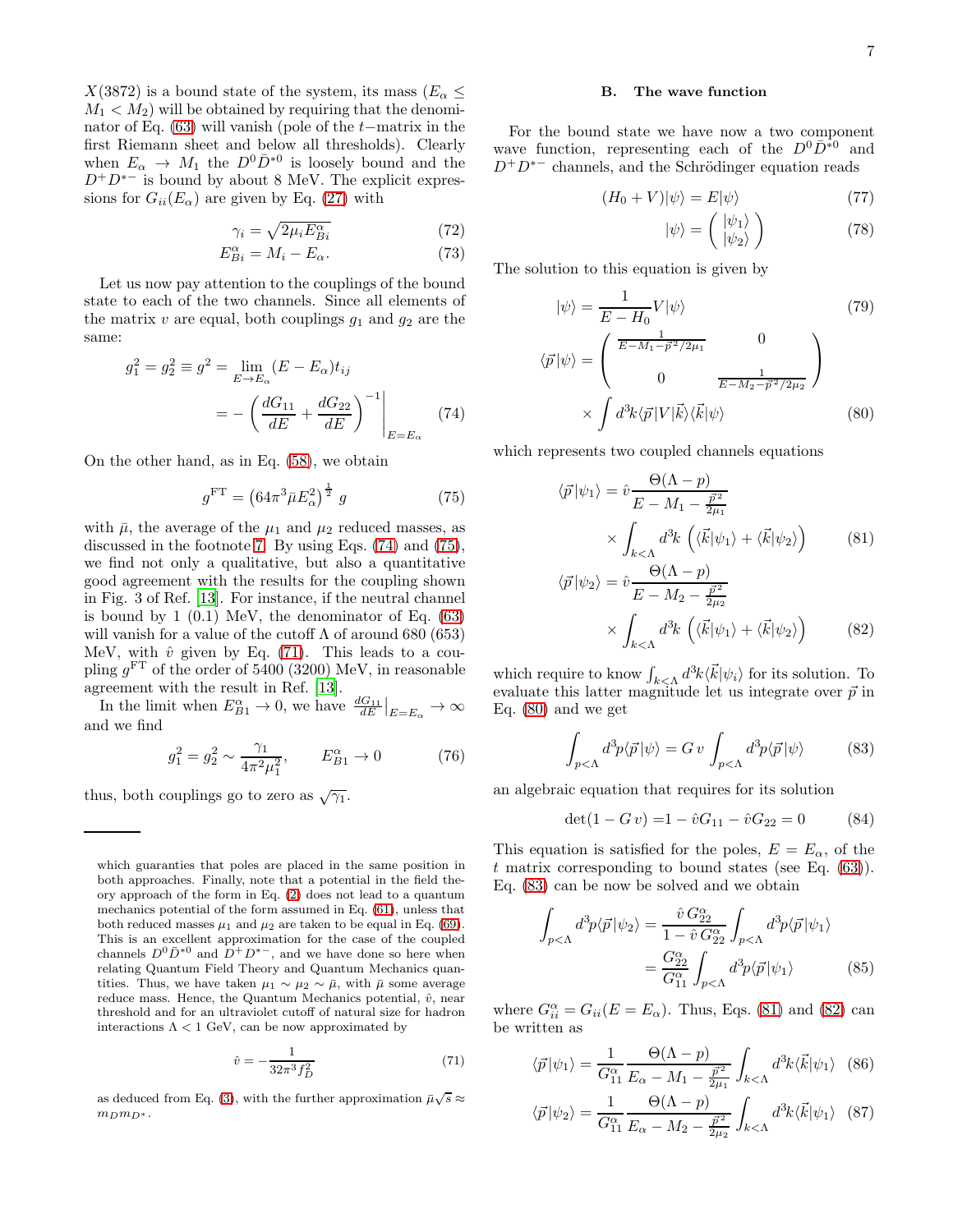$X(3872)$  is a bound state of the system, its mass  $(E_{\alpha} \leq$  $M_1 < M_2$ ) will be obtained by requiring that the denominator of Eq. [\(63\)](#page-5-2) will vanish (pole of the t−matrix in the first Riemann sheet and below all thresholds). Clearly when  $E_{\alpha} \to M_1$  the  $D^0 \bar{D}^{*0}$  is loosely bound and the  $D^+D^{*-}$  is bound by about 8 MeV. The explicit expressions for  $G_{ii}(E_{\alpha})$  are given by Eq. [\(27\)](#page-3-3) with

<span id="page-6-7"></span>
$$
\gamma_i = \sqrt{2\mu_i E_{Bi}^{\alpha}} \tag{72}
$$
\n
$$
F^{\alpha} = M - F \tag{73}
$$

$$
E_{Bi}^{\alpha} = M_i - E_{\alpha}.
$$
 (73)

Let us now pay attention to the couplings of the bound state to each of the two channels. Since all elements of the matrix  $v$  are equal, both couplings  $g_1$  and  $g_2$  are the same:

<span id="page-6-0"></span>
$$
g_1^2 = g_2^2 \equiv g^2 = \lim_{E \to E_\alpha} (E - E_\alpha) t_{ij}
$$

$$
= -\left(\frac{dG_{11}}{dE} + \frac{dG_{22}}{dE}\right)^{-1} \Bigg|_{E = E_\alpha} \tag{74}
$$

On the other hand, as in Eq. [\(58\)](#page-5-3), we obtain

<span id="page-6-1"></span>
$$
g^{\rm FT} = \left(64\pi^3 \bar{\mu} E_{\alpha}^2\right)^{\frac{1}{2}} g \tag{75}
$$

with  $\bar{\mu}$ , the average of the  $\mu_1$  and  $\mu_2$  reduced masses, as discussed in the footnote [7.](#page-5-1) By using Eqs. [\(74\)](#page-6-0) and [\(75\)](#page-6-1), we find not only a qualitative, but also a quantitative good agreement with the results for the coupling shown in Fig. 3 of Ref. [\[13](#page-13-8)]. For instance, if the neutral channel is bound by  $1(0.1)$  MeV, the denominator of Eq.  $(63)$ will vanish for a value of the cutoff  $\Lambda$  of around 680 (653) MeV, with  $\hat{v}$  given by Eq. [\(71\)](#page-6-2). This leads to a coupling  $g<sup>FT</sup>$  of the order of 5400 (3200) MeV, in reasonable agreement with the result in Ref. [\[13\]](#page-13-8).

In the limit when  $E_{B_1}^{\alpha} \to 0$ , we have  $\frac{dG_{11}}{dE}|_{E=E_{\alpha}} \to \infty$ and we find

$$
g_1^2 = g_2^2 \sim \frac{\gamma_1}{4\pi^2 \mu_1^2}, \qquad E_{B1}^{\alpha} \to 0 \tag{76}
$$

thus, both couplings go to zero as  $\sqrt{\gamma_1}$ .

which guaranties that poles are placed in the same position in both approaches. Finally, note that a potential in the field theory approach of the form in Eq. [\(2\)](#page-1-2) does not lead to a quantum mechanics potential of the form assumed in Eq. [\(61\)](#page-5-4), unless that both reduced masses  $\mu_1$  and  $\mu_2$  are taken to be equal in Eq. [\(69\)](#page-5-5). This is an excellent approximation for the case of the coupled channels  $D^0\bar{D}^{*0}$  and  $D^+D^{*-}$ , and we have done so here when relating Quantum Field Theory and Quantum Mechanics quantities. Thus, we have taken  $\mu_1 \sim \mu_2 \sim \bar{\mu}$ , with  $\bar{\mu}$  some average reduce mass. Hence, the Quantum Mechanics potential,  $\hat{v}$ , near threshold and for an ultraviolet cutoff of natural size for hadron interactions  $\Lambda < 1$  GeV, can be now approximated by

<span id="page-6-2"></span>
$$
\hat{v} = -\frac{1}{32\pi^3 f_D^2} \tag{71}
$$

as deduced from Eq. [\(3\)](#page-1-8), with the further approximation  $\bar{\mu}\sqrt{s} \approx$  $m_D m_{D^*}$ .

#### B. The wave function

For the bound state we have now a two component wave function, representing each of the  $D^0\bar{D}^{*0}$  and  $D^+D^{*-}$  channels, and the Schrödinger equation reads

$$
(H_0 + V)|\psi\rangle = E|\psi\rangle \tag{77}
$$

$$
|\psi\rangle = \left(\begin{array}{c} |\psi_1\rangle \\ |\psi_2\rangle \end{array}\right) \tag{78}
$$

The solution to this equation is given by

<span id="page-6-3"></span>
$$
|\psi\rangle = \frac{1}{E - H_0} V |\psi\rangle
$$
(79)  

$$
\langle \vec{p} | \psi \rangle = \begin{pmatrix} \frac{1}{E - M_1 - \vec{p}^2 / 2\mu_1} & 0 \\ 0 & \frac{1}{E - M_2 - \vec{p}^2 / 2\mu_2} \end{pmatrix}
$$

$$
\times \int d^3k \langle \vec{p} | V | \vec{k} \rangle \langle \vec{k} | \psi \rangle
$$
(80)

which represents two coupled channels equations

<span id="page-6-5"></span>
$$
\langle \vec{p} | \psi_1 \rangle = \hat{v} \frac{\Theta(\Lambda - p)}{E - M_1 - \frac{\vec{p}^2}{2\mu_1}} \times \int_{k < \Lambda} d^3k \left( \langle \vec{k} | \psi_1 \rangle + \langle \vec{k} | \psi_2 \rangle \right) \qquad (81)
$$

$$
\langle \vec{p} | \psi_2 \rangle = \hat{v} \frac{\Theta(\Lambda - p)}{E - M_2 - \frac{\vec{p}^2}{2\mu_2}}
$$

$$
\times \int_{k < \Lambda} d^3k \left( \langle \vec{k} | \psi_1 \rangle + \langle \vec{k} | \psi_2 \rangle \right) \tag{82}
$$

which require to know  $\int_{k\leq \Lambda} d^3k \langle \vec{k} | \psi_i \rangle$  for its solution. To evaluate this latter magnitude let us integrate over  $\vec{p}$  in Eq. [\(80\)](#page-6-3) and we get

<span id="page-6-4"></span>
$$
\int_{p<\Lambda} d^3p \langle \vec{p} | \psi \rangle = G \, v \, \int_{p<\Lambda} d^3p \langle \vec{p} | \psi \rangle \tag{83}
$$

an algebraic equation that requires for its solution

<span id="page-6-9"></span>
$$
\det(1 - G v) = 1 - \hat{v} G_{11} - \hat{v} G_{22} = 0 \tag{84}
$$

This equation is satisfied for the poles,  $E = E_{\alpha}$ , of the  $t$  matrix corresponding to bound states (see Eq.  $(63)$ ). Eq. [\(83\)](#page-6-4) can be now be solved and we obtain

<span id="page-6-6"></span>
$$
\int_{p<\Lambda} d^3p \langle \vec{p} | \psi_2 \rangle = \frac{\hat{v} G_{22}^{\alpha}}{1 - \hat{v} G_{22}^{\alpha}} \int_{p<\Lambda} d^3p \langle \vec{p} | \psi_1 \rangle
$$

$$
= \frac{G_{22}^{\alpha}}{G_{11}^{\alpha}} \int_{p<\Lambda} d^3p \langle \vec{p} | \psi_1 \rangle \tag{85}
$$

where  $G_{ii}^{\alpha} = G_{ii}(E = E_{\alpha})$ . Thus, Eqs. [\(81\)](#page-6-5) and [\(82\)](#page-6-5) can be written as

<span id="page-6-8"></span>
$$
\langle \vec{p} | \psi_1 \rangle = \frac{1}{G_{11}^{\alpha}} \frac{\Theta(\Lambda - p)}{E_{\alpha} - M_1 - \frac{\vec{p}^2}{2\mu_1}} \int_{k < \Lambda} d^3k \langle \vec{k} | \psi_1 \rangle \tag{86}
$$

$$
\langle \vec{p} | \psi_2 \rangle = \frac{1}{G_{11}^{\alpha}} \frac{\Theta(\Lambda - p)}{E_{\alpha} - M_2 - \frac{\vec{p}^2}{2\mu_2}} \int_{k < \Lambda} d^3k \langle \vec{k} | \psi_1 \rangle \tag{87}
$$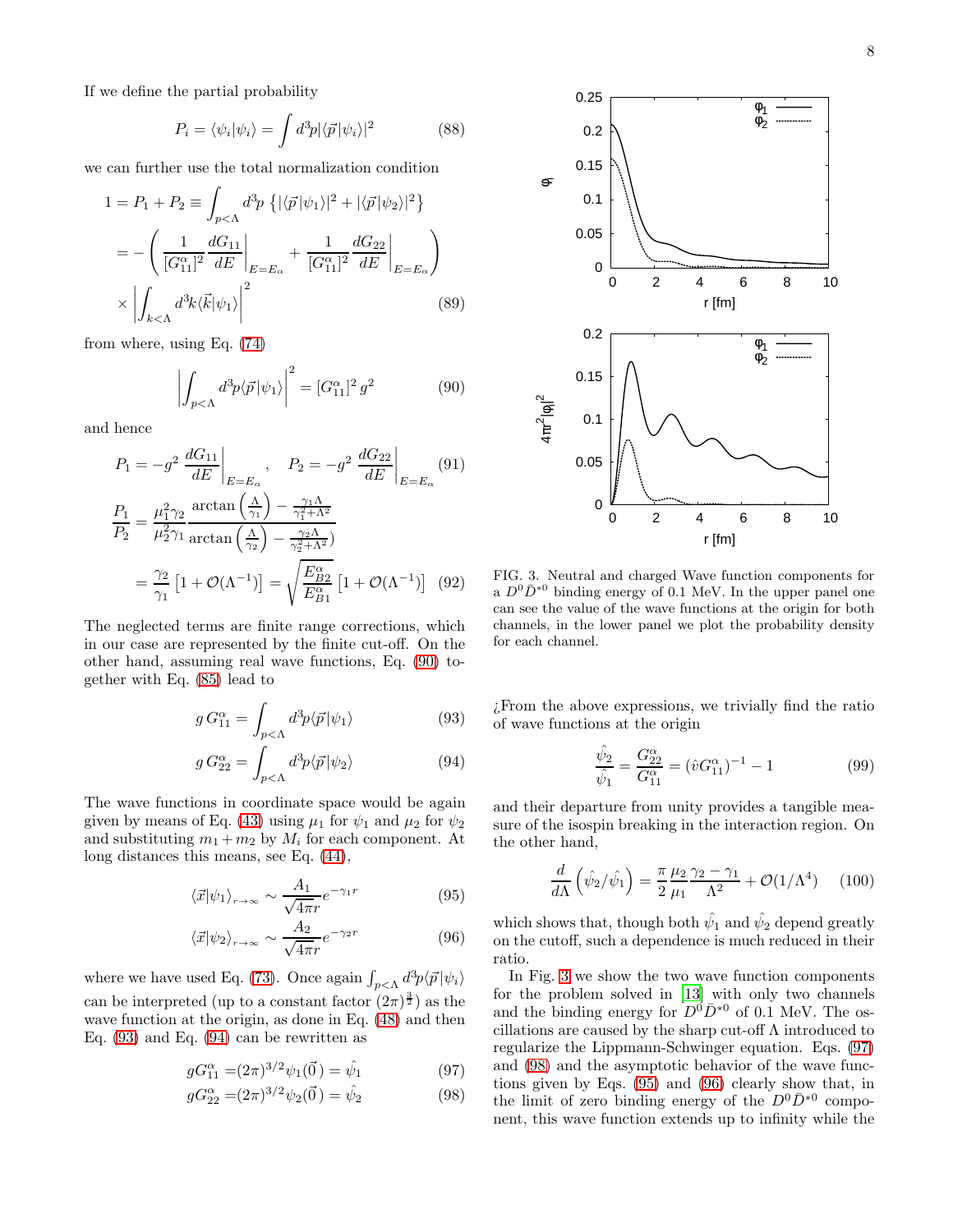If we define the partial probability

$$
P_i = \langle \psi_i | \psi_i \rangle = \int d^3p |\langle \vec{p} | \psi_i \rangle|^2 \tag{88}
$$

we can further use the total normalization condition

$$
1 = P_1 + P_2 \equiv \int_{p < \Lambda} d^3 p \left\{ |\langle \vec{p} | \psi_1 \rangle|^2 + |\langle \vec{p} | \psi_2 \rangle|^2 \right\}
$$

$$
= -\left( \frac{1}{[G_{11}^{\alpha}]^2} \frac{dG_{11}}{dE} \Big|_{E=E_{\alpha}} + \frac{1}{[G_{11}^{\alpha}]^2} \frac{dG_{22}}{dE} \Big|_{E=E_{\alpha}} \right)
$$

$$
\times \left| \int_{k < \Lambda} d^3 k \langle \vec{k} | \psi_1 \rangle \right|^2 \tag{89}
$$

from where, using Eq. [\(74\)](#page-6-0)

<span id="page-7-0"></span>
$$
\left| \int_{p < \Lambda} d^3 p \langle \vec{p} | \psi_1 \rangle \right|^2 = [G_{11}^{\alpha}]^2 g^2 \tag{90}
$$

and hence

<span id="page-7-5"></span>
$$
P_1 = -g^2 \frac{dG_{11}}{dE} \Big|_{E=E_{\alpha}}, \quad P_2 = -g^2 \frac{dG_{22}}{dE} \Big|_{E=E_{\alpha}} (91)
$$
  

$$
\frac{P_1}{P_2} = \frac{\mu_1^2 \gamma_2}{\mu_2^2 \gamma_1} \frac{\arctan\left(\frac{\Lambda}{\gamma_1}\right) - \frac{\gamma_1 \Lambda}{\gamma_1^2 + \Lambda^2}}{\arctan\left(\frac{\Lambda}{\gamma_2}\right) - \frac{\gamma_2 \Lambda}{\gamma_2^2 + \Lambda^2}}
$$
  

$$
= \frac{\gamma_2}{\gamma_1} \left[1 + \mathcal{O}(\Lambda^{-1})\right] = \sqrt{\frac{E_{B2}^{\alpha}}{E_{B1}^{\alpha}}} \left[1 + \mathcal{O}(\Lambda^{-1})\right] (92)
$$

The neglected terms are finite range corrections, which in our case are represented by the finite cut-off. On the other hand, assuming real wave functions, Eq. [\(90\)](#page-7-0) together with Eq. [\(85\)](#page-6-6) lead to

<span id="page-7-1"></span>
$$
g G_{11}^{\alpha} = \int_{p < \Lambda} d^3 p \langle \vec{p} | \psi_1 \rangle \tag{93}
$$

$$
g G_{22}^{\alpha} = \int_{p < \Lambda} d^3 p \langle \vec{p} | \psi_2 \rangle \tag{94}
$$

The wave functions in coordinate space would be again given by means of Eq. [\(43\)](#page-4-2) using  $\mu_1$  for  $\psi_1$  and  $\mu_2$  for  $\psi_2$ and substituting  $m_1 + m_2$  by  $M_i$  for each component. At long distances this means, see Eq. [\(44\)](#page-4-5),

<span id="page-7-4"></span>
$$
\langle \vec{x} | \psi_1 \rangle_{r \to \infty} \sim \frac{A_1}{\sqrt{4\pi r}} e^{-\gamma_1 r} \tag{95}
$$

$$
\langle \vec{x} | \psi_2 \rangle_{r \to \infty} \sim \frac{A_2}{\sqrt{4\pi r}} e^{-\gamma_2 r} \tag{96}
$$

where we have used Eq. [\(73\)](#page-6-7). Once again  $\int_{p<\Lambda} d^3p \langle \vec{p} | \psi_i \rangle$ can be interpreted (up to a constant factor  $(2\pi)^{\frac{3}{2}}$ ) as the wave function at the origin, as done in Eq. [\(48\)](#page-4-6) and then Eq. [\(93\)](#page-7-1) and Eq. [\(94\)](#page-7-1) can be rewritten as

<span id="page-7-3"></span>
$$
gG_{11}^{\alpha} = (2\pi)^{3/2} \psi_1(\vec{0}) = \hat{\psi}_1 \tag{97}
$$

$$
gG_{22}^{\alpha} = (2\pi)^{3/2} \psi_2(\vec{0}) = \hat{\psi}_2 \tag{98}
$$





0

0.05

0.05

0.1

 $4\pi^2|\phi_{\scriptscriptstyle\parallel}|^2$ 

0.15

0.2

0.1

0.15

 $\dot{\sigma}$ 

0.2

0.25

<span id="page-7-2"></span>a  $D^0\overline{D}^{*0}$  binding energy of 0.1 MeV. In the upper panel one can see the value of the wave functions at the origin for both channels, in the lower panel we plot the probability density for each channel.

¿From the above expressions, we trivially find the ratio of wave functions at the origin

$$
\frac{\hat{\psi}_2}{\hat{\psi}_1} = \frac{G_{22}^{\alpha}}{G_{11}^{\alpha}} = (\hat{v}G_{11}^{\alpha})^{-1} - 1
$$
\n(99)

and their departure from unity provides a tangible measure of the isospin breaking in the interaction region. On the other hand,

<span id="page-7-6"></span>
$$
\frac{d}{d\Lambda} \left( \hat{\psi}_2 / \hat{\psi}_1 \right) = \frac{\pi}{2} \frac{\mu_2}{\mu_1} \frac{\gamma_2 - \gamma_1}{\Lambda^2} + \mathcal{O}(1/\Lambda^4) \tag{100}
$$

which shows that, though both  $\hat{\psi_1}$  and  $\hat{\psi_2}$  depend greatly on the cutoff, such a dependence is much reduced in their ratio.

In Fig. [3](#page-7-2) we show the two wave function components for the problem solved in [\[13\]](#page-13-8) with only two channels and the binding energy for  $D^{0} \bar{D}^{*0}$  of 0.1 MeV. The oscillations are caused by the sharp cut-off  $\Lambda$  introduced to regularize the Lippmann-Schwinger equation. Eqs. [\(97\)](#page-7-3) and [\(98\)](#page-7-3) and the asymptotic behavior of the wave functions given by Eqs. [\(95\)](#page-7-4) and [\(96\)](#page-7-4) clearly show that, in the limit of zero binding energy of the  $D^0\bar{D}^{*0}$  component, this wave function extends up to infinity while the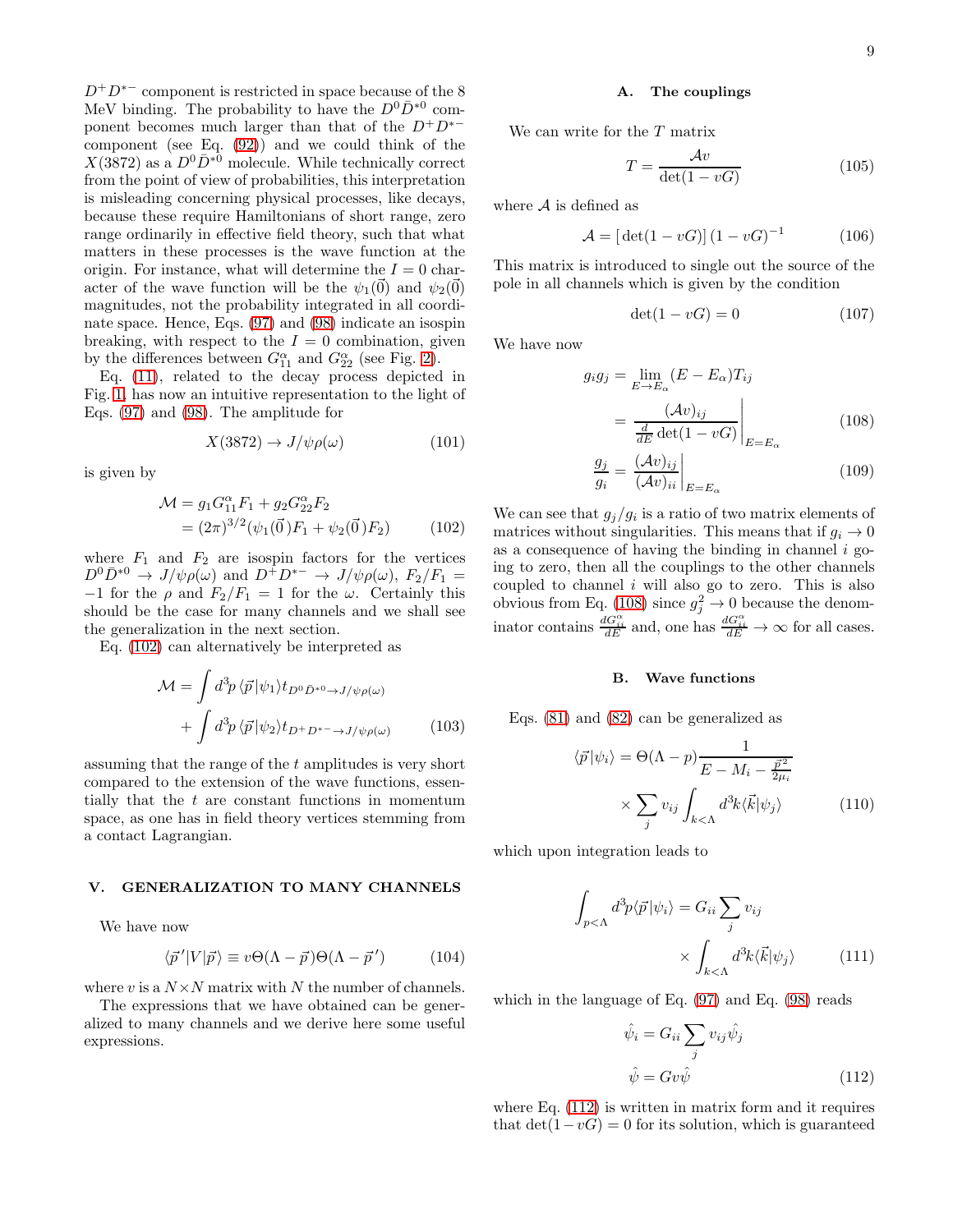9

 $D^+D^{*-}$  component is restricted in space because of the 8 MeV binding. The probability to have the  $D^0\bar{D}^{*0}$  component becomes much larger than that of the  $D^+D^{*-}$ component (see Eq. [\(92\)](#page-7-5)) and we could think of the  $X(3872)$  as a  $D^0\bar{D}^{*0}$  molecule. While technically correct from the point of view of probabilities, this interpretation is misleading concerning physical processes, like decays, because these require Hamiltonians of short range, zero range ordinarily in effective field theory, such that what matters in these processes is the wave function at the origin. For instance, what will determine the  $I = 0$  character of the wave function will be the  $\psi_1(\vec{0})$  and  $\psi_2(\vec{0})$ magnitudes, not the probability integrated in all coordinate space. Hence, Eqs. [\(97\)](#page-7-3) and [\(98\)](#page-7-3) indicate an isospin breaking, with respect to the  $I = 0$  combination, given by the differences between  $G_{11}^{\alpha}$  and  $G_{22}^{\alpha}$  (see Fig. [2\)](#page-2-0).

Eq. [\(11\)](#page-1-7), related to the decay process depicted in Fig. [1,](#page-1-5) has now an intuitive representation to the light of Eqs. [\(97\)](#page-7-3) and [\(98\)](#page-7-3). The amplitude for

$$
X(3872) \to J/\psi \rho(\omega) \tag{101}
$$

is given by

<span id="page-8-0"></span>
$$
\mathcal{M} = g_1 G_{11}^{\alpha} F_1 + g_2 G_{22}^{\alpha} F_2
$$
  
=  $(2\pi)^{3/2} (\psi_1(\vec{0}) F_1 + \psi_2(\vec{0}) F_2)$  (102)

where  $F_1$  and  $F_2$  are isospin factors for the vertices  $D^0\bar{D}^{*0} \to J/\psi \rho(\omega)$  and  $D^+D^{*-} \to J/\psi \rho(\omega)$ ,  $F_2/F_1 =$  $-1$  for the  $\rho$  and  $F_2/F_1 = 1$  for the  $\omega$ . Certainly this should be the case for many channels and we shall see the generalization in the next section.

Eq. [\(102\)](#page-8-0) can alternatively be interpreted as

<span id="page-8-6"></span>
$$
\mathcal{M} = \int d^3p \langle \vec{p} | \psi_1 \rangle t_{D^0 \bar{D}^{*0} \to J/\psi \rho(\omega)} + \int d^3p \langle \vec{p} | \psi_2 \rangle t_{D^+ D^{*-} \to J/\psi \rho(\omega)} \qquad (103)
$$

assuming that the range of the t amplitudes is very short compared to the extension of the wave functions, essentially that the t are constant functions in momentum space, as one has in field theory vertices stemming from a contact Lagrangian.

## V. GENERALIZATION TO MANY CHANNELS

We have now

$$
\langle \vec{p}'|V|\vec{p}\rangle \equiv v\Theta(\Lambda - \vec{p})\Theta(\Lambda - \vec{p}') \tag{104}
$$

where v is a  $N \times N$  matrix with N the number of channels.

The expressions that we have obtained can be generalized to many channels and we derive here some useful expressions.

#### A. The couplings

We can write for the T matrix

<span id="page-8-4"></span>
$$
T = \frac{\mathcal{A}v}{\det(1 - vG)}\tag{105}
$$

where  $A$  is defined as

$$
\mathcal{A} = [\det(1 - vG)] (1 - vG)^{-1}
$$
 (106)

This matrix is introduced to single out the source of the pole in all channels which is given by the condition

$$
\det(1 - vG) = 0 \tag{107}
$$

We have now

<span id="page-8-1"></span>
$$
g_i g_j = \lim_{E \to E_\alpha} (E - E_\alpha) T_{ij}
$$

$$
= \frac{(\mathcal{A}v)_{ij}}{\frac{d}{dE} \det(1 - v) \Big|_{E = E_\alpha}}
$$
(108)

$$
\frac{g_j}{g_i} = \frac{(\mathcal{A}v)_{ij}}{(\mathcal{A}v)_{ii}}\bigg|_{E=E_\alpha}
$$
\n(109)

We can see that  $g_j/g_i$  is a ratio of two matrix elements of matrices without singularities. This means that if  $g_i \to 0$ as a consequence of having the binding in channel  $i$  going to zero, then all the couplings to the other channels coupled to channel  $i$  will also go to zero. This is also obvious from Eq. [\(108\)](#page-8-1) since  $g_j^2 \to 0$  because the denominator contains  $\frac{dG_{ii}^{\alpha}}{dE}$  and, one has  $\frac{dG_{ii}^{\alpha}}{dE} \to \infty$  for all cases.

#### B. Wave functions

Eqs. [\(81\)](#page-6-5) and [\(82\)](#page-6-5) can be generalized as

<span id="page-8-3"></span>
$$
\langle \vec{p} | \psi_i \rangle = \Theta(\Lambda - p) \frac{1}{E - M_i - \frac{\vec{p}^2}{2\mu_i}} \times \sum_j v_{ij} \int_{k < \Lambda} d^3k \langle \vec{k} | \psi_j \rangle \tag{110}
$$

which upon integration leads to

 $\cdot$ 

<span id="page-8-5"></span>
$$
\int_{p<\Lambda} d^3p \langle \vec{p} | \psi_i \rangle = G_{ii} \sum_j v_{ij}
$$
\n
$$
\times \int_{k<\Lambda} d^3k \langle \vec{k} | \psi_j \rangle \tag{111}
$$

which in the language of Eq. [\(97\)](#page-7-3) and Eq. [\(98\)](#page-7-3) reads

<span id="page-8-2"></span>
$$
\hat{\psi}_i = G_{ii} \sum_j v_{ij} \hat{\psi}_j
$$
  

$$
\hat{\psi} = G v \hat{\psi}
$$
 (112)

where Eq.  $(112)$  is written in matrix form and it requires that  $\det(1-vG) = 0$  for its solution, which is guaranteed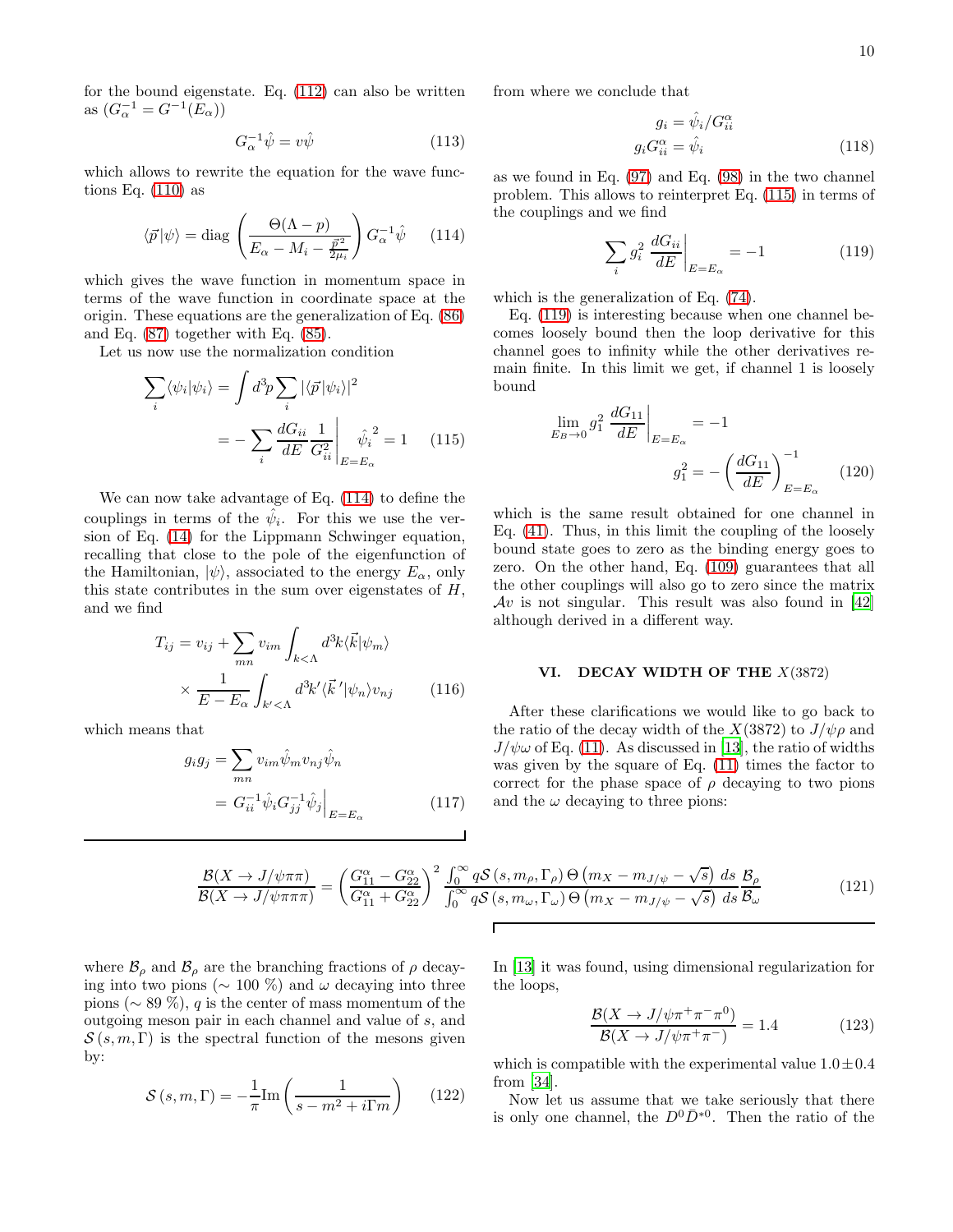for the bound eigenstate. Eq. [\(112\)](#page-8-2) can also be written as  $(G_{\alpha}^{-1} = G^{-1}(E_{\alpha}))$ 

<span id="page-9-3"></span>
$$
G_{\alpha}^{-1}\hat{\psi} = v\hat{\psi} \tag{113}
$$

which allows to rewrite the equation for the wave functions Eq.  $(110)$  as

<span id="page-9-0"></span>
$$
\langle \vec{p} | \psi \rangle = \text{diag}\left(\frac{\Theta(\Lambda - p)}{E_{\alpha} - M_i - \frac{\vec{p}^2}{2\mu_i}}\right) G_{\alpha}^{-1} \hat{\psi} \qquad (114)
$$

which gives the wave function in momentum space in terms of the wave function in coordinate space at the origin. These equations are the generalization of Eq. [\(86\)](#page-6-8) and Eq. [\(87\)](#page-6-8) together with Eq. [\(85\)](#page-6-6).

Let us now use the normalization condition

<span id="page-9-1"></span>
$$
\sum_{i} \langle \psi_i | \psi_i \rangle = \int d^3 p \sum_{i} |\langle \vec{p} | \psi_i \rangle|^2
$$

$$
= - \sum_{i} \frac{dG_{ii}}{dE} \frac{1}{G_{ii}^2} \left| \frac{\hat{\psi}_i}{E = E_{\alpha}} \right| \quad (115)
$$

We can now take advantage of Eq. [\(114\)](#page-9-0) to define the couplings in terms of the  $\hat{\psi}_i$ . For this we use the version of Eq. [\(14\)](#page-2-4) for the Lippmann Schwinger equation, recalling that close to the pole of the eigenfunction of the Hamiltonian,  $|\psi\rangle$ , associated to the energy  $E_{\alpha}$ , only this state contributes in the sum over eigenstates of  $H$ , and we find

$$
T_{ij} = v_{ij} + \sum_{mn} v_{im} \int_{k < \Lambda} d^3k \langle \vec{k} | \psi_m \rangle
$$

$$
\times \frac{1}{E - E_{\alpha}} \int_{k' < \Lambda} d^3k' \langle \vec{k}' | \psi_n \rangle v_{nj} \qquad (116)
$$

which means that

$$
g_i g_j = \sum_{mn} v_{im} \hat{\psi}_m v_{nj} \hat{\psi}_n
$$
  
=  $G_{ii}^{-1} \hat{\psi}_i G_{jj}^{-1} \hat{\psi}_j \Big|_{E=E_\alpha}$  (117)

from where we conclude that

<span id="page-9-4"></span>
$$
g_i = \hat{\psi}_i / G_{ii}^{\alpha}
$$
  

$$
g_i G_{ii}^{\alpha} = \hat{\psi}_i
$$
 (118)

as we found in Eq. [\(97\)](#page-7-3) and Eq. [\(98\)](#page-7-3) in the two channel problem. This allows to reinterpret Eq. [\(115\)](#page-9-1) in terms of the couplings and we find

<span id="page-9-2"></span>
$$
\sum_{i} g_i^2 \left. \frac{dG_{ii}}{dE} \right|_{E=E_\alpha} = -1 \tag{119}
$$

which is the generalization of Eq. [\(74\)](#page-6-0).

Eq. [\(119\)](#page-9-2) is interesting because when one channel becomes loosely bound then the loop derivative for this channel goes to infinity while the other derivatives remain finite. In this limit we get, if channel 1 is loosely bound

<span id="page-9-5"></span>
$$
\lim_{E_B \to 0} g_1^2 \left. \frac{dG_{11}}{dE} \right|_{E=E_\alpha} = -1
$$
\n
$$
g_1^2 = -\left(\frac{dG_{11}}{dE}\right)_{E=E_\alpha}^{-1} \tag{120}
$$

which is the same result obtained for one channel in Eq. [\(41\)](#page-4-3). Thus, in this limit the coupling of the loosely bound state goes to zero as the binding energy goes to zero. On the other hand, Eq. [\(109\)](#page-8-1) guarantees that all the other couplings will also go to zero since the matrix  $Av$  is not singular. This result was also found in [\[42](#page-13-25)] although derived in a different way.

#### VI. DECAY WIDTH OF THE  $X(3872)$

After these clarifications we would like to go back to the ratio of the decay width of the  $X(3872)$  to  $J/\psi \rho$  and  $J/\psi\omega$  of Eq. [\(11\)](#page-1-7). As discussed in [\[13\]](#page-13-8), the ratio of widths was given by the square of Eq. [\(11\)](#page-1-7) times the factor to correct for the phase space of  $\rho$  decaying to two pions and the  $\omega$  decaying to three pions:

$$
\frac{\mathcal{B}(X \to J/\psi\pi\pi)}{\mathcal{B}(X \to J/\psi\pi\pi\pi)} = \left(\frac{G_{11}^{\alpha} - G_{22}^{\alpha}}{G_{11}^{\alpha} + G_{22}^{\alpha}}\right)^2 \frac{\int_0^{\infty} q\mathcal{S}(s, m_\rho, \Gamma_\rho) \Theta(m_X - m_{J/\psi} - \sqrt{s}) ds \mathcal{B}_\rho}{\int_0^{\infty} q\mathcal{S}(s, m_\omega, \Gamma_\omega) \Theta(m_X - m_{J/\psi} - \sqrt{s}) ds \mathcal{B}_\omega}
$$
(121)

where  $\mathcal{B}_{\rho}$  and  $\mathcal{B}_{\rho}$  are the branching fractions of  $\rho$  decaying into two pions ( $\sim 100\%$ ) and  $\omega$  decaying into three pions ( $\sim$  89 %), q is the center of mass momentum of the outgoing meson pair in each channel and value of s, and  $S(s, m, \Gamma)$  is the spectral function of the mesons given by:

$$
S(s, m, \Gamma) = -\frac{1}{\pi} \text{Im} \left( \frac{1}{s - m^2 + i \Gamma m} \right) \qquad (122)
$$

In [\[13\]](#page-13-8) it was found, using dimensional regularization for the loops,

$$
\frac{\mathcal{B}(X \to J/\psi \pi^+ \pi^- \pi^0)}{\mathcal{B}(X \to J/\psi \pi^+ \pi^-)} = 1.4
$$
 (123)

which is compatible with the experimental value  $1.0 \pm 0.4$ from [\[34](#page-13-19)].

Now let us assume that we take seriously that there is only one channel, the  $D^0\bar{D}^{*0}$ . Then the ratio of the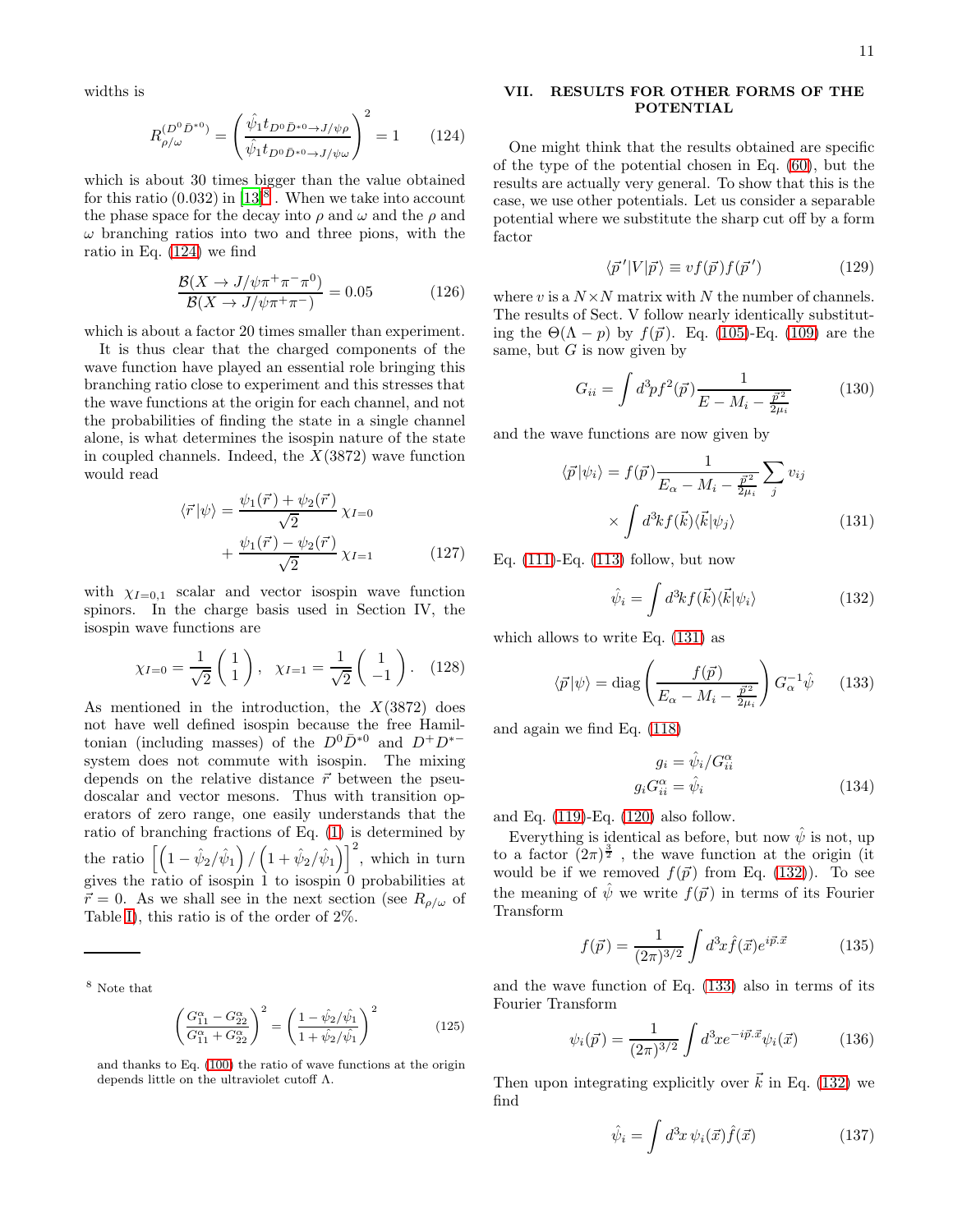widths is

<span id="page-10-2"></span>
$$
R_{\rho/\omega}^{(D^0 \bar{D}^{*0})} = \left(\frac{\hat{\psi}_1 t_{D^0 \bar{D}^{*0} \to J/\psi \rho}}{\hat{\psi}_1 t_{D^0 \bar{D}^{*0} \to J/\psi \omega}}\right)^2 = 1 \qquad (124)
$$

which is about 30 times bigger than the value obtained for this ratio  $(0.032)$  in  $[13]^{8}$  $[13]^{8}$  $[13]^{8}$ . When we take into account the phase space for the decay into  $\rho$  and  $\omega$  and the  $\rho$  and  $\omega$  branching ratios into two and three pions, with the ratio in Eq. [\(124\)](#page-10-2) we find

$$
\frac{\mathcal{B}(X \to J/\psi \pi^+ \pi^- \pi^0)}{\mathcal{B}(X \to J/\psi \pi^+ \pi^-)} = 0.05\tag{126}
$$

which is about a factor 20 times smaller than experiment.

It is thus clear that the charged components of the wave function have played an essential role bringing this branching ratio close to experiment and this stresses that the wave functions at the origin for each channel, and not the probabilities of finding the state in a single channel alone, is what determines the isospin nature of the state in coupled channels. Indeed, the  $X(3872)$  wave function would read

$$
\langle \vec{r} | \psi \rangle = \frac{\psi_1(\vec{r}) + \psi_2(\vec{r})}{\sqrt{2}} \chi_{I=0}
$$

$$
+ \frac{\psi_1(\vec{r}) - \psi_2(\vec{r})}{\sqrt{2}} \chi_{I=1}
$$
(127)

with  $\chi_{I=0,1}$  scalar and vector isospin wave function spinors. In the charge basis used in Section IV, the isospin wave functions are

$$
\chi_{I=0} = \frac{1}{\sqrt{2}} \begin{pmatrix} 1 \\ 1 \end{pmatrix}, \quad \chi_{I=1} = \frac{1}{\sqrt{2}} \begin{pmatrix} 1 \\ -1 \end{pmatrix}. \quad (128)
$$

As mentioned in the introduction, the  $X(3872)$  does not have well defined isospin because the free Hamiltonian (including masses) of the  $D^0\bar{D}^{*0}$  and  $D^+D^{*-}$ system does not commute with isospin. The mixing depends on the relative distance  $\vec{r}$  between the pseudoscalar and vector mesons. Thus with transition operators of zero range, one easily understands that the ratio of branching fractions of Eq. [\(1\)](#page-0-0) is determined by the ratio  $\left[\left(1-\hat{\psi}_2/\hat{\psi}_1\right)/\left(1+\hat{\psi}_2/\hat{\psi}_1\right)\right]^2$ , which in turn gives the ratio of isospin 1 to isospin 0 probabilities at  $\vec{r} = 0$ . As we shall see in the next section (see  $R_{\rho/\omega}$  of Table [I\)](#page-12-0), this ratio is of the order of 2%.

<span id="page-10-1"></span><sup>8</sup> Note that

$$
\left(\frac{G_{11}^{\alpha} - G_{22}^{\alpha}}{G_{11}^{\alpha} + G_{22}^{\alpha}}\right)^2 = \left(\frac{1 - \hat{\psi}_2/\hat{\psi}_1}{1 + \hat{\psi}_2/\hat{\psi}_1}\right)^2\tag{125}
$$

and thanks to Eq. [\(100\)](#page-7-6) the ratio of wave functions at the origin depends little on the ultraviolet cutoff Λ.

### <span id="page-10-0"></span>VII. RESULTS FOR OTHER FORMS OF THE POTENTIAL

One might think that the results obtained are specific of the type of the potential chosen in Eq. [\(60\)](#page-5-6), but the results are actually very general. To show that this is the case, we use other potentials. Let us consider a separable potential where we substitute the sharp cut off by a form factor

$$
\langle \vec{p}' | V | \vec{p} \rangle \equiv v f(\vec{p}) f(\vec{p}') \tag{129}
$$

where v is a  $N \times N$  matrix with N the number of channels. The results of Sect. V follow nearly identically substituting the  $\Theta(\Lambda - p)$  by  $f(\vec{p})$ . Eq. [\(105\)](#page-8-4)-Eq. [\(109\)](#page-8-1) are the same, but  $G$  is now given by

$$
G_{ii} = \int d^3p f^2(\vec{p}) \frac{1}{E - M_i - \frac{\vec{p}^2}{2\mu_i}} \tag{130}
$$

and the wave functions are now given by

<span id="page-10-3"></span>
$$
\langle \vec{p} | \psi_i \rangle = f(\vec{p}) \frac{1}{E_{\alpha} - M_i - \frac{\vec{p}^2}{2\mu_i}} \sum_j v_{ij}
$$

$$
\times \int d^3k f(\vec{k}) \langle \vec{k} | \psi_j \rangle \tag{131}
$$

Eq. [\(111\)](#page-8-5)-Eq. [\(113\)](#page-9-3) follow, but now

<span id="page-10-4"></span>
$$
\hat{\psi}_i = \int d^3k f(\vec{k}) \langle \vec{k} | \psi_i \rangle \tag{132}
$$

which allows to write Eq. [\(131\)](#page-10-3) as

<span id="page-10-5"></span>
$$
\langle \vec{p} | \psi \rangle = \text{diag}\left(\frac{f(\vec{p})}{E_{\alpha} - M_i - \frac{\vec{p}^2}{2\mu_i}}\right) G_{\alpha}^{-1} \hat{\psi} \qquad (133)
$$

and again we find Eq. [\(118\)](#page-9-4)

<span id="page-10-6"></span>
$$
g_i = \hat{\psi}_i / G_{ii}^{\alpha}
$$
  

$$
g_i G_{ii}^{\alpha} = \hat{\psi}_i
$$
 (134)

and Eq. [\(119\)](#page-9-2)-Eq. [\(120\)](#page-9-5) also follow.

Everything is identical as before, but now  $\hat{\psi}$  is not, up to a factor  $(2\pi)^{\frac{3}{2}}$ , the wave function at the origin (it would be if we removed  $f(\vec{p})$  from Eq. [\(132\)](#page-10-4)). To see the meaning of  $\hat{\psi}$  we write  $f(\vec{p})$  in terms of its Fourier Transform

$$
f(\vec{p}) = \frac{1}{(2\pi)^{3/2}} \int d^3x \hat{f}(\vec{x}) e^{i\vec{p}.\vec{x}} \tag{135}
$$

and the wave function of Eq. [\(133\)](#page-10-5) also in terms of its Fourier Transform

$$
\psi_i(\vec{p}) = \frac{1}{(2\pi)^{3/2}} \int d^3x e^{-i\vec{p}.\vec{x}} \psi_i(\vec{x}) \tag{136}
$$

Then upon integrating explicitly over  $\vec{k}$  in Eq. [\(132\)](#page-10-4) we find

$$
\hat{\psi}_i = \int d^3x \, \psi_i(\vec{x}) \hat{f}(\vec{x}) \tag{137}
$$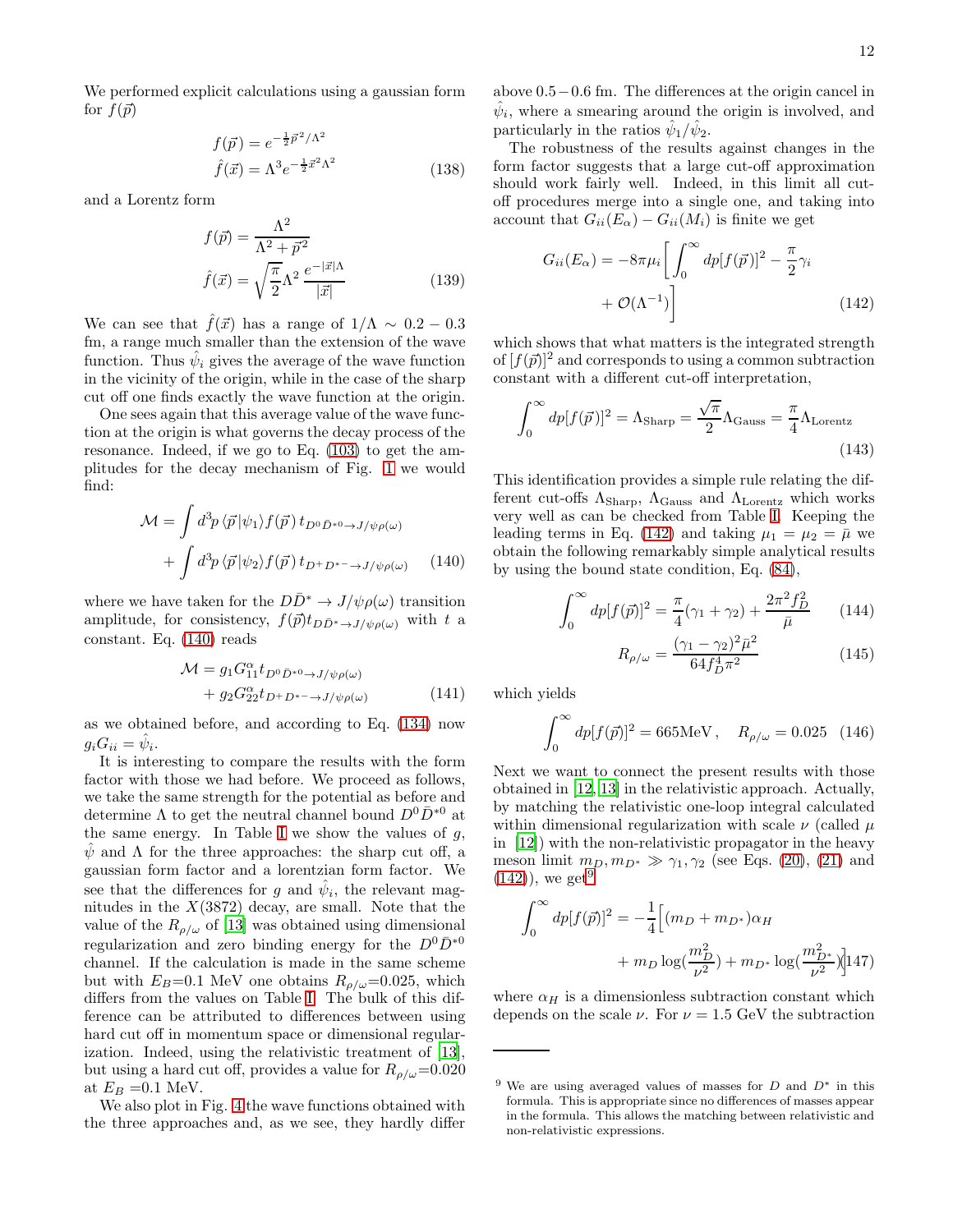We performed explicit calculations using a gaussian form for  $f(\vec{p})$ 

$$
f(\vec{p}) = e^{-\frac{1}{2}\vec{p}^2/\Lambda^2}
$$
  

$$
\hat{f}(\vec{x}) = \Lambda^3 e^{-\frac{1}{2}\vec{x}^2\Lambda^2}
$$
 (138)

and a Lorentz form

$$
f(\vec{p}) = \frac{\Lambda^2}{\Lambda^2 + \vec{p}^2}
$$

$$
\hat{f}(\vec{x}) = \sqrt{\frac{\pi}{2}} \Lambda^2 \frac{e^{-|\vec{x}|\Lambda}}{|\vec{x}|}
$$
(139)

We can see that  $\hat{f}(\vec{x})$  has a range of  $1/\Lambda \sim 0.2 - 0.3$ fm, a range much smaller than the extension of the wave function. Thus  $\hat{\psi}_i$  gives the average of the wave function in the vicinity of the origin, while in the case of the sharp cut off one finds exactly the wave function at the origin.

One sees again that this average value of the wave function at the origin is what governs the decay process of the resonance. Indeed, if we go to Eq. [\(103\)](#page-8-6) to get the amplitudes for the decay mechanism of Fig. [1](#page-1-5) we would find:

<span id="page-11-0"></span>
$$
\mathcal{M} = \int d^3p \langle \vec{p} | \psi_1 \rangle f(\vec{p}) t_{D^0 \bar{D}^{*0} \to J/\psi \rho(\omega)} + \int d^3p \langle \vec{p} | \psi_2 \rangle f(\vec{p}) t_{D^+ D^{*-} \to J/\psi \rho(\omega)} \qquad (140)
$$

where we have taken for the  $D\bar{D}^* \to J/\psi \rho(\omega)$  transition amplitude, for consistency,  $f(\vec{p})t_{D\bar{D}^*\to J/\psi\rho(\omega)}$  with t a constant. Eq. [\(140\)](#page-11-0) reads

$$
\mathcal{M} = g_1 G_{11}^{\alpha} t_{D^0 \bar{D}^{*0} \to J/\psi \rho(\omega)} + g_2 G_{22}^{\alpha} t_{D^+ D^{*-} \to J/\psi \rho(\omega)}
$$
(141)

as we obtained before, and according to Eq. [\(134\)](#page-10-6) now  $g_i G_{ii} = \hat{\psi}_i.$ 

It is interesting to compare the results with the form factor with those we had before. We proceed as follows, we take the same strength for the potential as before and determine  $\Lambda$  to get the neutral channel bound  $D^0\bar{D}^{*0}$  at the same energy. [I](#page-12-0)n Table I we show the values of  $q$ ,  $\psi$  and  $\Lambda$  for the three approaches: the sharp cut off, a gaussian form factor and a lorentzian form factor. We see that the differences for g and  $\hat{\psi}_i$ , the relevant magnitudes in the  $X(3872)$  decay, are small. Note that the value of the  $R_{\rho/\omega}$  of [\[13](#page-13-8)] was obtained using dimensional regularization and zero binding energy for the  $D^0\bar{D}^{*0}$ channel. If the calculation is made in the same scheme but with  $E_B=0.1$  MeV one obtains  $R_{\rho/\omega}=0.025$ , which differs from the values on Table [I.](#page-12-0) The bulk of this difference can be attributed to differences between using hard cut off in momentum space or dimensional regularization. Indeed, using the relativistic treatment of [\[13\]](#page-13-8), but using a hard cut off, provides a value for  $R_{\rho/\omega}$ =0.020 at  $E_B = 0.1$  MeV.

We also plot in Fig. [4](#page-12-1) the wave functions obtained with the three approaches and, as we see, they hardly differ above 0.5−0.6 fm. The differences at the origin cancel in  $\hat{\psi}_i$ , where a smearing around the origin is involved, and particularly in the ratios  $\hat{\psi}_1/\hat{\psi}_2$ .

The robustness of the results against changes in the form factor suggests that a large cut-off approximation should work fairly well. Indeed, in this limit all cutoff procedures merge into a single one, and taking into account that  $G_{ii}(E_{\alpha}) - G_{ii}(M_i)$  is finite we get

<span id="page-11-1"></span>
$$
G_{ii}(E_{\alpha}) = -8\pi\mu_i \left[ \int_0^{\infty} dp [f(\vec{p})]^2 - \frac{\pi}{2} \gamma_i + \mathcal{O}(\Lambda^{-1}) \right]
$$
(142)

which shows that what matters is the integrated strength of  $[f(\vec{p})]^2$  and corresponds to using a common subtraction constant with a different cut-off interpretation,

$$
\int_0^\infty dp[f(\vec{p})]^2 = \Lambda_{\text{Sharp}} = \frac{\sqrt{\pi}}{2} \Lambda_{\text{Gauss}} = \frac{\pi}{4} \Lambda_{\text{Lorentz}} \tag{143}
$$

This identification provides a simple rule relating the different cut-offs  $\Lambda_{\text{Sharp}}$ ,  $\Lambda_{\text{Gauss}}$  and  $\Lambda_{\text{Lorentz}}$  which works very well as can be checked from Table [I.](#page-12-0) Keeping the leading terms in Eq. [\(142\)](#page-11-1) and taking  $\mu_1 = \mu_2 = \bar{\mu}$  we obtain the following remarkably simple analytical results by using the bound state condition, Eq. [\(84\)](#page-6-9),

$$
\int_0^\infty dp[f(\vec{p})]^2 = \frac{\pi}{4}(\gamma_1 + \gamma_2) + \frac{2\pi^2 f_D^2}{\bar{\mu}} \qquad (144)
$$

$$
R_{\rho/\omega} = \frac{(\gamma_1 - \gamma_2)^2 \bar{\mu}^2}{64 f_D^4 \pi^2} \tag{145}
$$

which yields

$$
\int_0^\infty dp [f(\vec{p})]^2 = 665 \text{MeV}, \quad R_{\rho/\omega} = 0.025 \quad (146)
$$

Next we want to connect the present results with those obtained in [\[12,](#page-13-5) [13\]](#page-13-8) in the relativistic approach. Actually, by matching the relativistic one-loop integral calculated within dimensional regularization with scale  $\nu$  (called  $\mu$ ) in [\[12\]](#page-13-5)) with the non-relativistic propagator in the heavy meson limit  $m_D, m_{D^*} \gg \gamma_1, \gamma_2$  (see Eqs. [\(20\)](#page-3-6), [\(21\)](#page-3-5) and  $(142)$ , we get<sup>[9](#page-11-2)</sup>

$$
\int_0^\infty dp[f(\vec{p})]^2 = -\frac{1}{4} \Big[ (m_D + m_{D^*})\alpha_H
$$
  
+  $m_D \log(\frac{m_D^2}{\nu^2}) + m_{D^*} \log(\frac{m_{D^*}^2}{\nu^2}) \Big] 147$ 

where  $\alpha_H$  is a dimensionless subtraction constant which depends on the scale  $\nu$ . For  $\nu = 1.5$  GeV the subtraction

<span id="page-11-2"></span><sup>&</sup>lt;sup>9</sup> We are using averaged values of masses for  $D$  and  $D^*$  in this formula. This is appropriate since no differences of masses appear in the formula. This allows the matching between relativistic and non-relativistic expressions.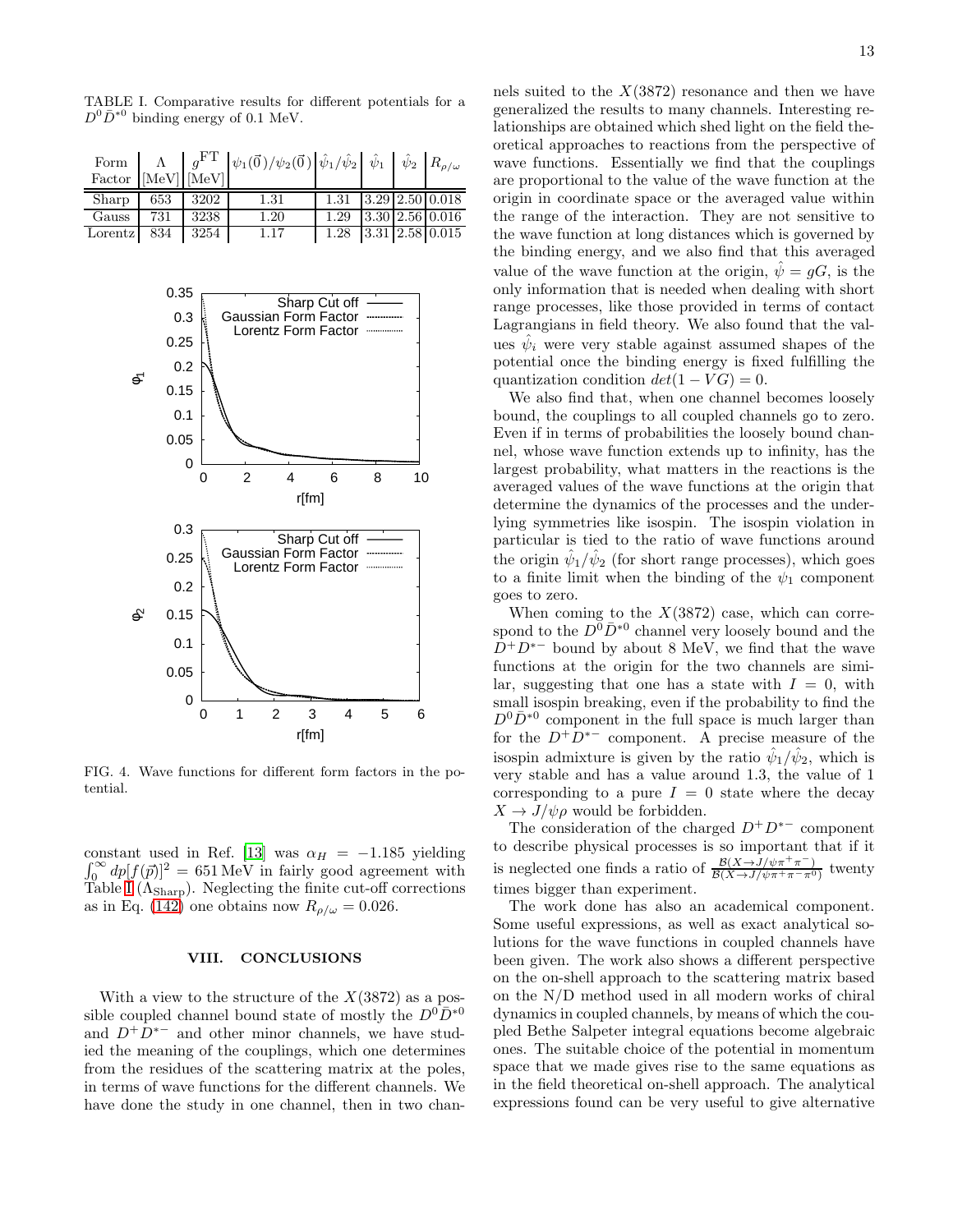|                      |     |      | Form $\begin{bmatrix} \Lambda \\ \text{Factor} \end{bmatrix} \begin{bmatrix} g^{\text{FT}} \\ \text{[MeV]} \end{bmatrix} \psi_1(\vec{0}) / \psi_2(\vec{0}) \begin{bmatrix} \hat{\psi}_1 / \hat{\psi}_2 \\ \hat{\psi}_1 \end{bmatrix} \hat{\psi}_1 \begin{bmatrix} \hat{\psi}_2 \\ \hat{\psi}_2 \end{bmatrix} R_{\rho/\omega}$ |                            |  |  |
|----------------------|-----|------|-------------------------------------------------------------------------------------------------------------------------------------------------------------------------------------------------------------------------------------------------------------------------------------------------------------------------------|----------------------------|--|--|
| $Sharp \t653 \t3202$ |     |      | 1.31                                                                                                                                                                                                                                                                                                                          | $1.31$ $3.29$ $2.50$ 0.018 |  |  |
| Gauss                | 731 | 3238 | 1.20                                                                                                                                                                                                                                                                                                                          | $1.29$ 3.30 $2.56$ 0.016   |  |  |
| Lorentz $834$ 3254   |     |      | 1.17                                                                                                                                                                                                                                                                                                                          | $1.28$ 3.31 $2.58$ 0.015   |  |  |

<span id="page-12-0"></span>TABLE I. Comparative results for different potentials for a  $D^0 \bar{D}^{*0}$  binding energy of 0.1 MeV.



<span id="page-12-1"></span>FIG. 4. Wave functions for different form factors in the potential.

constant used in Ref. [\[13\]](#page-13-8) was  $\alpha_H = -1.185$  yielding  $\int_0^\infty dp [f(\vec{p})]^2 = 651 \text{ MeV}$  in fairly good agreement with Table [I](#page-12-0)  $(\Lambda_{\rm Sharp})$ . Neglecting the finite cut-off corrections as in Eq. [\(142\)](#page-11-1) one obtains now  $R_{\rho/\omega} = 0.026$ .

#### VIII. CONCLUSIONS

With a view to the structure of the  $X(3872)$  as a possible coupled channel bound state of mostly the  $D^0\bar{D}^{*0}$ and  $D^+D^{*-}$  and other minor channels, we have studied the meaning of the couplings, which one determines from the residues of the scattering matrix at the poles, in terms of wave functions for the different channels. We have done the study in one channel, then in two channels suited to the  $X(3872)$  resonance and then we have generalized the results to many channels. Interesting relationships are obtained which shed light on the field theoretical approaches to reactions from the perspective of wave functions. Essentially we find that the couplings are proportional to the value of the wave function at the origin in coordinate space or the averaged value within the range of the interaction. They are not sensitive to the wave function at long distances which is governed by the binding energy, and we also find that this averaged value of the wave function at the origin,  $\psi = qG$ , is the only information that is needed when dealing with short range processes, like those provided in terms of contact Lagrangians in field theory. We also found that the values  $\hat{\psi}_i$  were very stable against assumed shapes of the potential once the binding energy is fixed fulfilling the quantization condition  $det(1 - VG) = 0$ .

We also find that, when one channel becomes loosely bound, the couplings to all coupled channels go to zero. Even if in terms of probabilities the loosely bound channel, whose wave function extends up to infinity, has the largest probability, what matters in the reactions is the averaged values of the wave functions at the origin that determine the dynamics of the processes and the underlying symmetries like isospin. The isospin violation in particular is tied to the ratio of wave functions around the origin  $\hat{\psi}_1 / \hat{\psi}_2$  (for short range processes), which goes to a finite limit when the binding of the  $\psi_1$  component goes to zero.

When coming to the  $X(3872)$  case, which can correspond to the  $D^0\bar{D}^{*0}$  channel very loosely bound and the  $D^+D^{*-}$  bound by about 8 MeV, we find that the wave functions at the origin for the two channels are similar, suggesting that one has a state with  $I = 0$ , with small isospin breaking, even if the probability to find the  $D^0\bar{D}^{*0}$  component in the full space is much larger than for the  $D^+D^{*-}$  component. A precise measure of the isospin admixture is given by the ratio  $\hat{\psi}_1/\hat{\psi}_2$ , which is very stable and has a value around 1.3, the value of 1 corresponding to a pure  $I = 0$  state where the decay  $X \to J/\psi \rho$  would be forbidden.

The consideration of the charged  $D^+D^{*-}$  component to describe physical processes is so important that if it is neglected one finds a ratio of  $\frac{\mathcal{B}(X \to J/\psi \pi^+ \pi^-)}{\mathcal{B}(X \to J/\psi \pi^+ \pi^- \pi^0)}$  $\frac{\mathcal{B}(X \to J/\psi \pi^+ \pi^-)}{\mathcal{B}(X \to J/\psi \pi^+ \pi^- \pi^0)}$  twenty times bigger than experiment.

The work done has also an academical component. Some useful expressions, as well as exact analytical solutions for the wave functions in coupled channels have been given. The work also shows a different perspective on the on-shell approach to the scattering matrix based on the N/D method used in all modern works of chiral dynamics in coupled channels, by means of which the coupled Bethe Salpeter integral equations become algebraic ones. The suitable choice of the potential in momentum space that we made gives rise to the same equations as in the field theoretical on-shell approach. The analytical expressions found can be very useful to give alternative